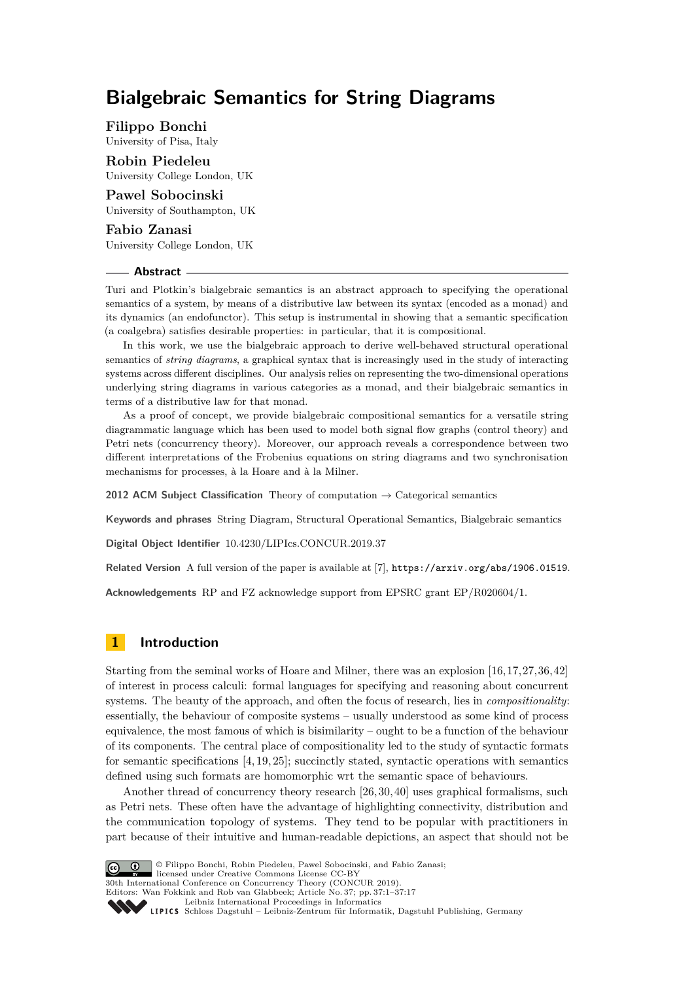# **Bialgebraic Semantics for String Diagrams**

**Filippo Bonchi**

University of Pisa, Italy

**Robin Piedeleu** University College London, UK

**Pawel Sobocinski** University of Southampton, UK

### **Fabio Zanasi**

University College London, UK

# **Abstract**

Turi and Plotkin's bialgebraic semantics is an abstract approach to specifying the operational semantics of a system, by means of a distributive law between its syntax (encoded as a monad) and its dynamics (an endofunctor). This setup is instrumental in showing that a semantic specification (a coalgebra) satisfies desirable properties: in particular, that it is compositional.

In this work, we use the bialgebraic approach to derive well-behaved structural operational semantics of *string diagrams*, a graphical syntax that is increasingly used in the study of interacting systems across different disciplines. Our analysis relies on representing the two-dimensional operations underlying string diagrams in various categories as a monad, and their bialgebraic semantics in terms of a distributive law for that monad.

As a proof of concept, we provide bialgebraic compositional semantics for a versatile string diagrammatic language which has been used to model both signal flow graphs (control theory) and Petri nets (concurrency theory). Moreover, our approach reveals a correspondence between two different interpretations of the Frobenius equations on string diagrams and two synchronisation mechanisms for processes, à la Hoare and à la Milner.

**2012 ACM Subject Classification** Theory of computation → Categorical semantics

**Keywords and phrases** String Diagram, Structural Operational Semantics, Bialgebraic semantics

**Digital Object Identifier** [10.4230/LIPIcs.CONCUR.2019.37](https://doi.org/10.4230/LIPIcs.CONCUR.2019.37)

**Related Version** A full version of the paper is available at [\[7\]](#page-14-0), <https://arxiv.org/abs/1906.01519>.

**Acknowledgements** RP and FZ acknowledge support from EPSRC grant EP/R020604/1.

# **1 Introduction**

Starting from the seminal works of Hoare and Milner, there was an explosion [\[16,](#page-15-0)[17,](#page-15-1)[27,](#page-15-2)[36,](#page-16-0)[42\]](#page-16-1) of interest in process calculi: formal languages for specifying and reasoning about concurrent systems. The beauty of the approach, and often the focus of research, lies in *compositionality*: essentially, the behaviour of composite systems – usually understood as some kind of process equivalence, the most famous of which is bisimilarity – ought to be a function of the behaviour of its components. The central place of compositionality led to the study of syntactic formats for semantic specifications [\[4,](#page-14-1) [19,](#page-15-3) [25\]](#page-15-4); succinctly stated, syntactic operations with semantics defined using such formats are homomorphic wrt the semantic space of behaviours.

Another thread of concurrency theory research [\[26,](#page-15-5) [30,](#page-15-6) [40\]](#page-16-2) uses graphical formalisms, such as Petri nets. These often have the advantage of highlighting connectivity, distribution and the communication topology of systems. They tend to be popular with practitioners in part because of their intuitive and human-readable depictions, an aspect that should not be



© Filippo Bonchi, Robin Piedeleu, Pawel Sobocinski, and Fabio Zanasi; licensed under Creative Commons License CC-BY 30th International Conference on Concurrency Theory (CONCUR 2019). Editors: Wan Fokkink and Rob van Glabbeek; Article No. 37; pp. 37:1–37[:17](#page-16-3) [Leibniz International Proceedings in Informatics](https://www.dagstuhl.de/lipics/)

[Schloss Dagstuhl – Leibniz-Zentrum für Informatik, Dagstuhl Publishing, Germany](https://www.dagstuhl.de)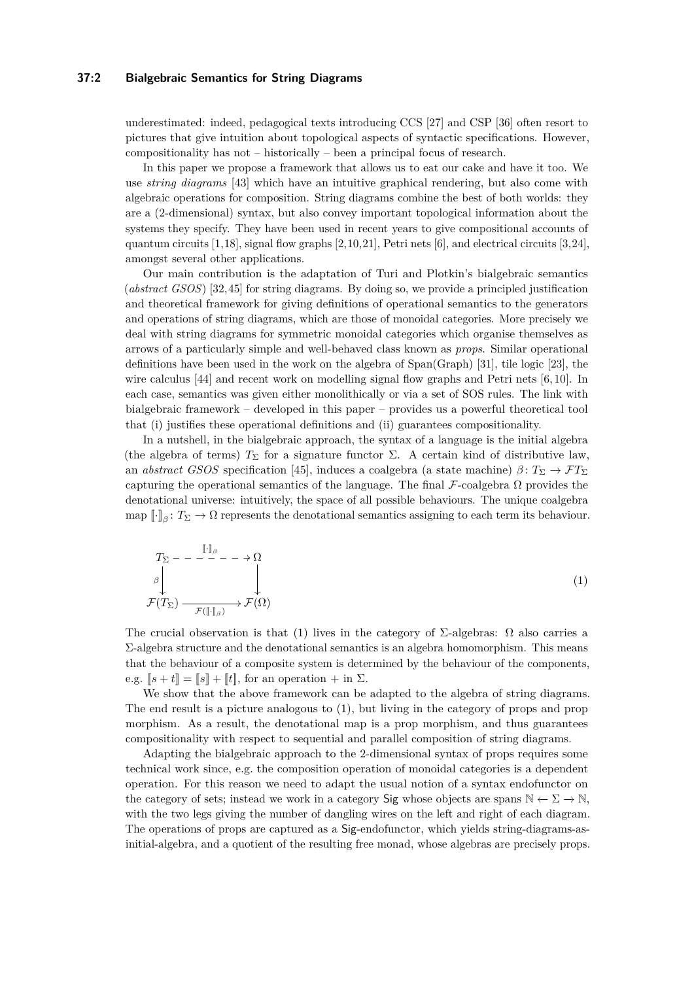# **37:2 Bialgebraic Semantics for String Diagrams**

underestimated: indeed, pedagogical texts introducing CCS [\[27\]](#page-15-2) and CSP [\[36\]](#page-16-0) often resort to pictures that give intuition about topological aspects of syntactic specifications. However, compositionality has not – historically – been a principal focus of research.

In this paper we propose a framework that allows us to eat our cake and have it too. We use *string diagrams* [\[43\]](#page-16-4) which have an intuitive graphical rendering, but also come with algebraic operations for composition. String diagrams combine the best of both worlds: they are a (2-dimensional) syntax, but also convey important topological information about the systems they specify. They have been used in recent years to give compositional accounts of quantum circuits  $[1,18]$  $[1,18]$ , signal flow graphs  $[2,10,21]$  $[2,10,21]$  $[2,10,21]$ , Petri nets  $[6]$ , and electrical circuits  $[3,24]$  $[3,24]$ , amongst several other applications.

Our main contribution is the adaptation of Turi and Plotkin's bialgebraic semantics (*abstract GSOS*) [\[32,](#page-15-10)[45\]](#page-16-5) for string diagrams. By doing so, we provide a principled justification and theoretical framework for giving definitions of operational semantics to the generators and operations of string diagrams, which are those of monoidal categories. More precisely we deal with string diagrams for symmetric monoidal categories which organise themselves as arrows of a particularly simple and well-behaved class known as *props*. Similar operational definitions have been used in the work on the algebra of Span(Graph) [\[31\]](#page-15-11), tile logic [\[23\]](#page-15-12), the wire calculus [\[44\]](#page-16-6) and recent work on modelling signal flow graphs and Petri nets [\[6,](#page-14-5)10]. In each case, semantics was given either monolithically or via a set of SOS rules. The link with bialgebraic framework – developed in this paper – provides us a powerful theoretical tool that (i) justifies these operational definitions and (ii) guarantees compositionality.

In a nutshell, in the bialgebraic approach, the syntax of a language is the initial algebra (the algebra of terms)  $T_{\Sigma}$  for a signature functor  $\Sigma$ . A certain kind of distributive law, an *abstract GSOS* specification [\[45\]](#page-16-5), induces a coalgebra (a state machine)  $\beta: T_{\Sigma} \to \mathcal{F}T_{\Sigma}$ capturing the operational semantics of the language. The final  $\mathcal F$ -coalgebra  $\Omega$  provides the denotational universe: intuitively, the space of all possible behaviours. The unique coalgebra  $\text{map } [\![\cdot]\!]_\beta \colon T_\Sigma \to \Omega$  represents the denotational semantics assigning to each term its behaviour.

<span id="page-1-0"></span>
$$
T_{\Sigma} - - \xrightarrow{\llbracket \cdot \rrbracket_{\beta}} - \rightarrow \Omega
$$
\n
$$
\downarrow
$$
\n
$$
\mathcal{F}(T_{\Sigma}) \xrightarrow{\qquad \qquad \downarrow} \mathcal{F}(\llbracket \cdot \rrbracket_{\beta}) \rightarrow \mathcal{F}(\Omega)
$$
\n
$$
(1)
$$

The crucial observation is that [\(1\)](#page-1-0) lives in the category of  $\Sigma$ -algebras:  $\Omega$  also carries a Σ-algebra structure and the denotational semantics is an algebra homomorphism. This means that the behaviour of a composite system is determined by the behaviour of the components, e.g.  $[s + t] = [s] + [t]$ , for an operation  $+$  in  $\Sigma$ .

We show that the above framework can be adapted to the algebra of string diagrams. The end result is a picture analogous to [\(1\)](#page-1-0), but living in the category of props and prop morphism. As a result, the denotational map is a prop morphism, and thus guarantees compositionality with respect to sequential and parallel composition of string diagrams.

Adapting the bialgebraic approach to the 2-dimensional syntax of props requires some technical work since, e.g. the composition operation of monoidal categories is a dependent operation. For this reason we need to adapt the usual notion of a syntax endofunctor on the category of sets; instead we work in a category Sig whose objects are spans  $\mathbb{N} \leftarrow \Sigma \rightarrow \mathbb{N}$ , with the two legs giving the number of dangling wires on the left and right of each diagram. The operations of props are captured as a Sig-endofunctor, which yields string-diagrams-asinitial-algebra, and a quotient of the resulting free monad, whose algebras are precisely props.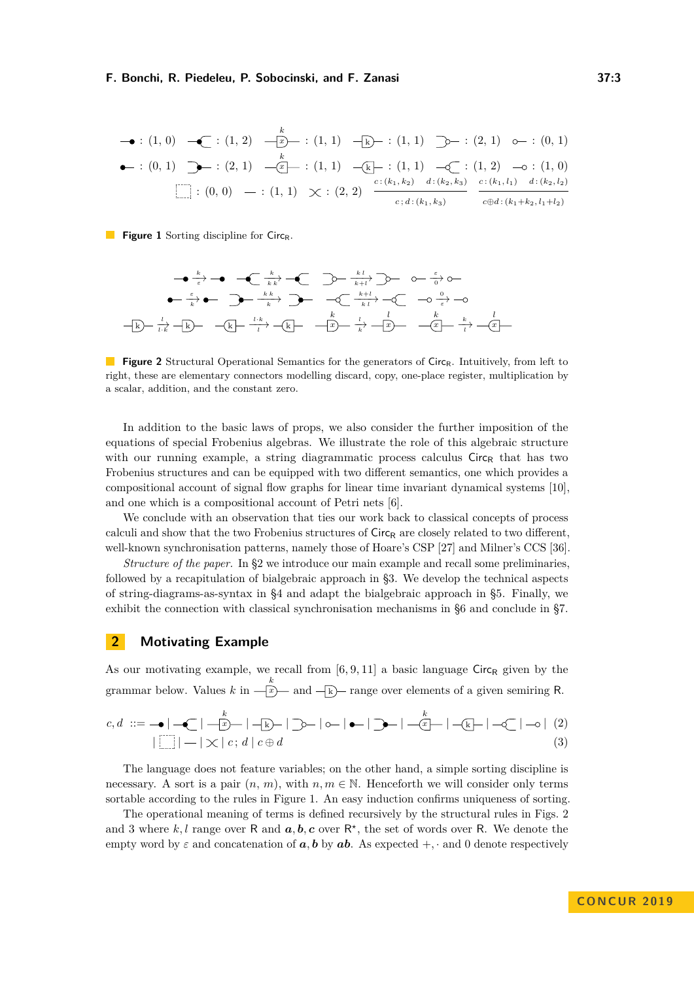<span id="page-2-1"></span>
$$
\begin{array}{ccccccccc}\n\bullet & \cdot & (1, 0) & \leftarrow & (1, 2) & \xrightarrow{k} & (1, 1) & \xrightarrow{k} & (1, 1) & \xrightarrow{k} & (2, 1) & \xrightarrow{k} & (0, 1) \\
\bullet & \cdot & (0, 1) & \searrow & (2, 1) & \xrightarrow{k} & (1, 1) & \xrightarrow{k} & (1, 1) & \xrightarrow{k} & (1, 1) & \xrightarrow{k} & (1, 2) & \xrightarrow{c} & (1, 0) \\
\hline\n\bullet & \cdot & (0, 0) & \xrightarrow{k} & (1, 1) & \times & (2, 2) & \xrightarrow{c:(k_1, k_2) & d:(k_2, k_3)} & \xrightarrow{c:(k_1, l_1) & d:(k_2, l_2)} \\
\hline\n\end{array}
$$

<span id="page-2-2"></span>**Figure 1** Sorting discipline for Circ<sub>R</sub>.

*k*−→*ε <sup>k</sup>* −−→*k k k l* −−→*<sup>k</sup>*+*<sup>l</sup> ε*−→0 *ε*−→*k k k* −−−→*<sup>k</sup> <sup>k</sup>*+*<sup>l</sup>* −−−→*k l* 0−→*ε* k *l* −→*l*·*k* k k *<sup>l</sup>*·*<sup>k</sup>* −−→*<sup>l</sup>* k *x k l* −→*k x l x k k*−→*l x l*

**Figure 2** Structural Operational Semantics for the generators of Circ<sub>R</sub>. Intuitively, from left to right, these are elementary connectors modelling discard, copy, one-place register, multiplication by a scalar, addition, and the constant zero.

In addition to the basic laws of props, we also consider the further imposition of the equations of special Frobenius algebras. We illustrate the role of this algebraic structure with our running example, a string diagrammatic process calculus  $Circ_R$  that has two Frobenius structures and can be equipped with two different semantics, one which provides a compositional account of signal flow graphs for linear time invariant dynamical systems [\[10\]](#page-14-4), and one which is a compositional account of Petri nets [\[6\]](#page-14-5).

We conclude with an observation that ties our work back to classical concepts of process calculi and show that the two Frobenius structures of  $Circ_R$  are closely related to two different, well-known synchronisation patterns, namely those of Hoare's CSP [\[27\]](#page-15-2) and Milner's CCS [\[36\]](#page-16-0).

*Structure of the paper.* In [§2](#page-2-0) we introduce our main example and recall some preliminaries, followed by a recapitulation of bialgebraic approach in [§3.](#page-4-0) We develop the technical aspects of string-diagrams-as-syntax in [§4](#page-5-0) and adapt the bialgebraic approach in [§5.](#page-8-0) Finally, we exhibit the connection with classical synchronisation mechanisms in [§6](#page-10-0) and conclude in [§7.](#page-14-7)

# <span id="page-2-0"></span>**2 Motivating Example**

As our motivating example, we recall from  $[6, 9, 11]$  $[6, 9, 11]$  $[6, 9, 11]$  a basic language Circ<sub>R</sub> given by the grammar below. Values *k* in  $\frac{k}{\sqrt{x}}$  and  $\frac{1}{\sqrt{x}}$  range over elements of a given semiring R.

<span id="page-2-4"></span><span id="page-2-3"></span>
$$
c,d ::= -\bullet|-\textcircled{\textsf{I}}|-|\textcircled{\textsf{I}}|-\textcircled{\textsf{I}}|-\textcircled{\textsf{I}}|-\textcircled{\textsf{I}}|-\textcircled{\textsf{I}}|-\textcircled{\textsf{I}}|-\textcircled{\textsf{I}}|-\textcircled{\textsf{I}}|-\textcircled{\textsf{I}}|-\textcircled{\textsf{I}}|-\textcircled{\textsf{I}}|-\textcircled{\textsf{I}}|-\textcircled{\textsf{I}}|-\textcircled{\textsf{I}}|-\textcircled{\textsf{I}}|-\textcircled{\textsf{I}}|-\textcircled{\textsf{I}}|-\textcircled{\textsf{I}}|-\textcircled{\textsf{I}}|-\textcircled{\textsf{I}}|-\textcircled{\textsf{I}}|-\textcircled{\textsf{I}}|-\textcircled{\textsf{I}}|-\textcircled{\textsf{I}}|-\textcircled{\textsf{I}}|-\textcircled{\textsf{I}}|-\textcircled{\textsf{I}}|-\textcircled{\textsf{I}}|-\textcircled{\textsf{I}}|-\textcircled{\textsf{I}}|-\textcircled{\textsf{I}}|-\textcircled{\textsf{I}}|-\textcircled{\textsf{I}}|-\textcircled{\textsf{I}}|-\textcircled{\textsf{I}}|-\textcircled{\textsf{I}}|-\textcircled{\textsf{I}}|-\textcircled{\textsf{I}}|-\textcircled{\textsf{I}}|-\textcircled{\textsf{I}}|-\textcircled{\textsf{I}}|-\textcircled{\textsf{I}}|-\textcircled{\textsf{I}}|-\textcircled{\textsf{I}}|-\textcircled{\textsf{I}}|-\textcircled{\textsf{I}}|-\textcircled{\textsf{I}}|-\textcircled{\textsf{I}}|-\textcircled{\textsf{I}}|-\textcircled{\textsf{I}}|-\textcircled{\textsf{I}}|-\textcircled{\textsf{I}}|-\textcircled{\textsf{I}}|-\textcircled{\textsf{I}}|-\textcircled{\textsf{I}}|-\textcircled{\textsf{I}}|-\textcircled{\textsf{I}}|-\textcircled{\textsf{I}}|-\textcircled{\textsf{I}}|-\textcircled{\textsf{I}}|-\textcircled{\textsf{I}}|-\textcircled{\textsf{I}}|-\textcircled{\textsf{I}}|-\textcircled{\textsf{I}}|-\textcircled{\textsf{I}}|-\textcircled{\textsf{I}}|-\textcircled{\textsf{I}}|-\textcircled
$$

The language does not feature variables; on the other hand, a simple sorting discipline is necessary. A sort is a pair  $(n, m)$ , with  $n, m \in \mathbb{N}$ . Henceforth we will consider only terms sortable according to the rules in Figure [1.](#page-2-1) An easy induction confirms uniqueness of sorting.

The operational meaning of terms is defined recursively by the structural rules in Figs. [2](#page-2-2) and [3](#page-3-0) where  $k, l$  range over R and  $a, b, c$  over  $R^*$ , the set of words over R. We denote the empty word by  $\varepsilon$  and concatenation of  $a, b$  by  $ab$ . As expected  $+$ , · and 0 denote respectively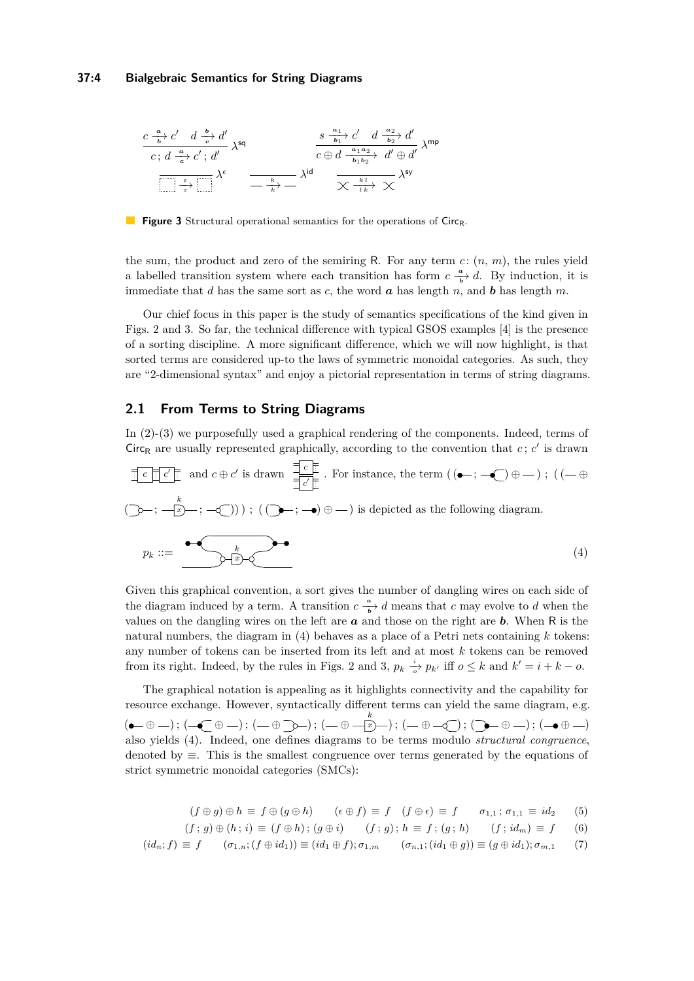### **37:4 Bialgebraic Semantics for String Diagrams**

<span id="page-3-0"></span>
$$
\frac{c\frac{a}{b}c'}{c\,;\,d\frac{a}{c}c'\,;\,d'}\,\lambda^{\text{sq}}\,\frac{\frac{s\frac{a_1}{b_1}c'}{b_1}c'\,;\,d\frac{a_2}{b_2}d'}{c\,\oplus\,d\frac{a_1a_2}{b_1b_2}c'\,;\,d'\oplus d'}\,\lambda^{\text{mp}}
$$
\n
$$
\frac{\frac{s\frac{a_1}{b_1}c'}{b_1b_2}c'\,d\frac{a_2}{b_2}d'}{\frac{s\oplus d\frac{a_1a_2}{b_1b_2}c'}{c\,\oplus\,d\frac{a_1a_2}{b_1b_2}c'}\,\lambda^{\text{mp}}
$$

**Figure 3** Structural operational semantics for the operations of Circ<sub>R</sub>.

the sum, the product and zero of the semiring R. For any term  $c: (n, m)$ , the rules yield a labelled transition system where each transition has form  $c \frac{a}{b} d$ . By induction, it is immediate that *d* has the same sort as *c*, the word  $\boldsymbol{a}$  has length *n*, and  $\boldsymbol{b}$  has length  $m$ .

Our chief focus in this paper is the study of semantics specifications of the kind given in Figs. [2](#page-2-2) and [3.](#page-3-0) So far, the technical difference with typical GSOS examples [\[4\]](#page-14-1) is the presence of a sorting discipline. A more significant difference, which we will now highlight, is that sorted terms are considered up-to the laws of symmetric monoidal categories. As such, they are "2-dimensional syntax" and enjoy a pictorial representation in terms of string diagrams.

# **2.1 From Terms to String Diagrams**

In [\(2\)](#page-2-3)-[\(3\)](#page-2-4) we purposefully used a graphical rendering of the components. Indeed, terms of Circ<sub>R</sub> are usually represented graphically, according to the convention that  $c$ ;  $c'$  is drawn

<span id="page-3-1"></span>
$$
\frac{\frac{1}{2}c\prod c'}{c\prod c'\prod}
$$
 and  $c \oplus c'$  is drawn  $\frac{\frac{1}{2}c\prod}{\frac{1}{2}c'\prod}$ . For instance, the term  $((\bullet \cdot; -\bullet) \oplus -)$  ;  $((-\oplus$   
 $(\searrow \cdot; -\circ\frac{k}{2}) \rightarrow ; -\circ\frac{k}{2})$ ) ;  $((\bullet \bullet \cdot; -\bullet) \oplus -)$  is depicted as the following diagram.  

$$
p_k ::= \underbrace{\bullet \bullet \bullet}_{p_k} \underbrace{\bullet \bullet}_{(4)}
$$
 (4)

Given this graphical convention, a sort gives the number of dangling wires on each side of the diagram induced by a term. A transition  $c \frac{a}{b}$  *d* means that *c* may evolve to *d* when the values on the dangling wires on the left are *a* and those on the right are *b*. When R is the natural numbers, the diagram in [\(4\)](#page-3-1) behaves as a place of a Petri nets containing *k* tokens: any number of tokens can be inserted from its left and at most *k* tokens can be removed from its right. Indeed, by the rules in Figs. [2](#page-2-2) and [3,](#page-3-0)  $p_k \stackrel{i}{\rightarrow} p_{k'}$  iff  $o \leq k$  and  $k' = i + k - o$ .

The graphical notation is appealing as it highlights connectivity and the capability for resource exchange. However, syntactically different terms can yield the same diagram, e.g.  $(\bullet-\oplus-); (\to\hspace*{-6pt}\bullet\to) ; (-\oplus\hspace*{-6pt}\to-); (-\oplus\hspace*{-6pt}\to-); (\to\oplus\hspace*{-6pt}\to-); (\to\hspace*{-6pt}\bullet\to-); (-\bullet\oplus\hspace*{-6pt}\to-)$ also yields [\(4\)](#page-3-1). Indeed, one defines diagrams to be terms modulo *structural congruence*, denoted by ≡. This is the smallest congruence over terms generated by the equations of strict symmetric monoidal categories (SMCs):

<span id="page-3-2"></span>
$$
(f \oplus g) \oplus h \equiv f \oplus (g \oplus h) \qquad (\epsilon \oplus f) \equiv f \quad (f \oplus \epsilon) \equiv f \qquad \sigma_{1,1} \, ; \, \sigma_{1,1} \equiv id_2 \qquad (5)
$$

$$
(f; g) \oplus (h; i) \equiv (f \oplus h); (g \oplus i) \qquad (f; g); h \equiv f; (g; h) \qquad (f; id_m) \equiv f \qquad (6)
$$

$$
(id_n; f) \equiv f \qquad (\sigma_{1,n}; (f \oplus id_1)) \equiv (id_1 \oplus f); \sigma_{1,m} \qquad (\sigma_{n,1}; (id_1 \oplus g)) \equiv (g \oplus id_1); \sigma_{m,1} \qquad (7)
$$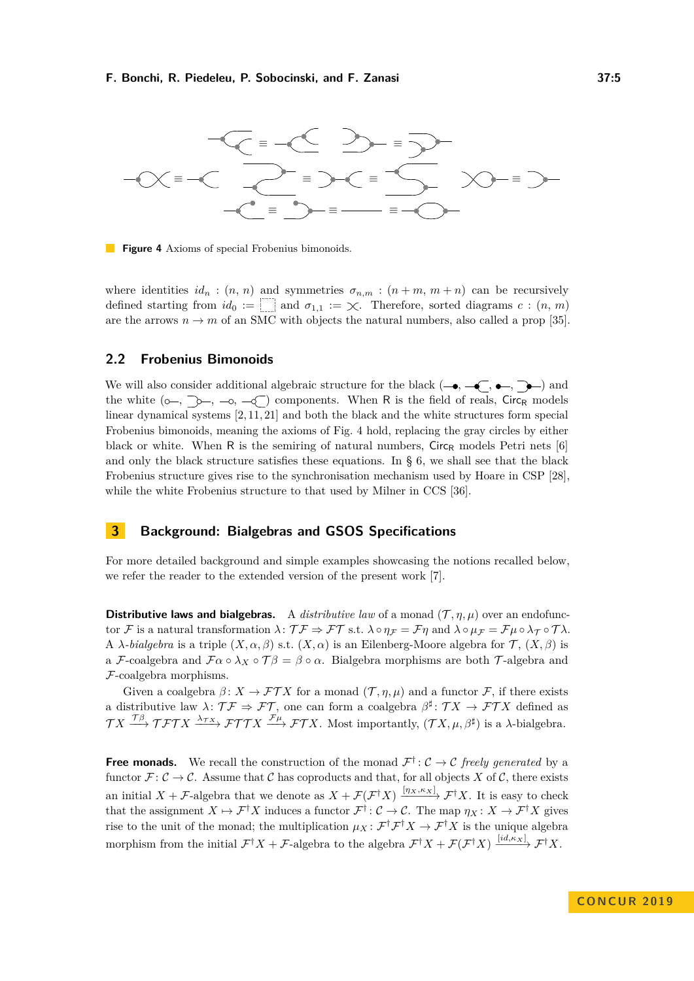<span id="page-4-1"></span>

**Figure 4** Axioms of special Frobenius bimonoids.

where identities  $id_n : (n, n)$  and symmetries  $\sigma_{n,m} : (n+m, m+n)$  can be recursively defined starting from  $id_0 := \Box$  and  $\sigma_{1,1} := \chi$ . Therefore, sorted diagrams  $c : (n, m)$ are the arrows  $n \to m$  of an SMC with objects the natural numbers, also called a prop [\[35\]](#page-16-7).

# **2.2 Frobenius Bimonoids**

We will also consider additional algebraic structure for the black  $(-\bullet, -\leftarrow, \bullet-)$  and the white  $(\circ -, \searrow, -\circ, -\circ)$  components. When R is the field of reals, Circ<sub>R</sub> models linear dynamical systems [\[2,](#page-14-3) [11,](#page-14-9) [21\]](#page-15-8) and both the black and the white structures form special Frobenius bimonoids, meaning the axioms of Fig. [4](#page-4-1) hold, replacing the gray circles by either black or white. When R is the semiring of natural numbers,  $Circ_R$  models Petri nets [\[6\]](#page-14-5) and only the black structure satisfies these equations. In  $\S$  [6,](#page-10-0) we shall see that the black Frobenius structure gives rise to the synchronisation mechanism used by Hoare in CSP [\[28\]](#page-15-13), while the white Frobenius structure to that used by Milner in CCS [\[36\]](#page-16-0).

# <span id="page-4-0"></span>**3 Background: Bialgebras and GSOS Specifications**

For more detailed background and simple examples showcasing the notions recalled below, we refer the reader to the extended version of the present work [\[7\]](#page-14-0).

**Distributive laws and bialgebras.** A *distributive law* of a monad  $(\mathcal{T}, \eta, \mu)$  over an endofunctor F is a natural transformation  $\lambda$ :  $\mathcal{T}\mathcal{F} \Rightarrow \mathcal{FT}$  s.t.  $\lambda \circ \eta_{\mathcal{F}} = \mathcal{F}\eta$  and  $\lambda \circ \mu_{\mathcal{F}} = \mathcal{F}\mu \circ \lambda_{\mathcal{T}} \circ \mathcal{T}\lambda$ . A *λ-bialgebra* is a triple  $(X, \alpha, \beta)$  s.t.  $(X, \alpha)$  is an Eilenberg-Moore algebra for  $\mathcal{T}, (X, \beta)$  is a F-coalgebra and  $\mathcal{F}\alpha \circ \lambda_X \circ \mathcal{T}\beta = \beta \circ \alpha$ . Bialgebra morphisms are both T-algebra and F-coalgebra morphisms.

Given a coalgebra  $\beta: X \to \mathcal{FT}X$  for a monad  $(\mathcal{T}, \eta, \mu)$  and a functor  $\mathcal{F}$ , if there exists a distributive law  $\lambda: \mathcal{T} \mathcal{F} \Rightarrow \mathcal{FT}$ , one can form a coalgebra  $\beta^{\sharp}: \mathcal{T} X \to \mathcal{FT} X$  defined as  $\mathcal{T}X \xrightarrow{\mathcal{T}\beta} \mathcal{T}\mathcal{F}\mathcal{T}X \xrightarrow{\lambda_{\mathcal{T}X}} \mathcal{F}\mathcal{T}\mathcal{T}X \xrightarrow{\mathcal{F}\mu} \mathcal{F}\mathcal{T}X$ . Most importantly,  $(\mathcal{T}X, \mu, \beta^{\sharp})$  is a  $\lambda$ -bialgebra.

**Free monads.** We recall the construction of the monad  $\mathcal{F}^{\dagger}$ :  $\mathcal{C} \rightarrow \mathcal{C}$  freely generated by a functor  $\mathcal{F} : \mathcal{C} \to \mathcal{C}$ . Assume that  $\mathcal{C}$  has coproducts and that, for all objects X of  $\mathcal{C}$ , there exists an initial  $X + \mathcal{F}$ -algebra that we denote as  $X + \mathcal{F}(\mathcal{F}^{\dagger}X) \xrightarrow{[\eta_X,\kappa_X]} \mathcal{F}^{\dagger}X$ . It is easy to check that the assignment  $X \mapsto \mathcal{F}^{\dagger}X$  induces a functor  $\mathcal{F}^{\dagger} : \mathcal{C} \to \mathcal{C}$ . The map  $\eta_X : X \to \mathcal{F}^{\dagger}X$  gives rise to the unit of the monad; the multiplication  $\mu_X \colon \mathcal{F}^\dagger \mathcal{F}^\dagger X \to \mathcal{F}^\dagger X$  is the unique algebra morphism from the initial  $\mathcal{F}^{\dagger}X + \mathcal{F}$ -algebra to the algebra  $\mathcal{F}^{\dagger}X + \mathcal{F}(\mathcal{F}^{\dagger}X) \xrightarrow{[id,\kappa_X]} \mathcal{F}^{\dagger}X$ .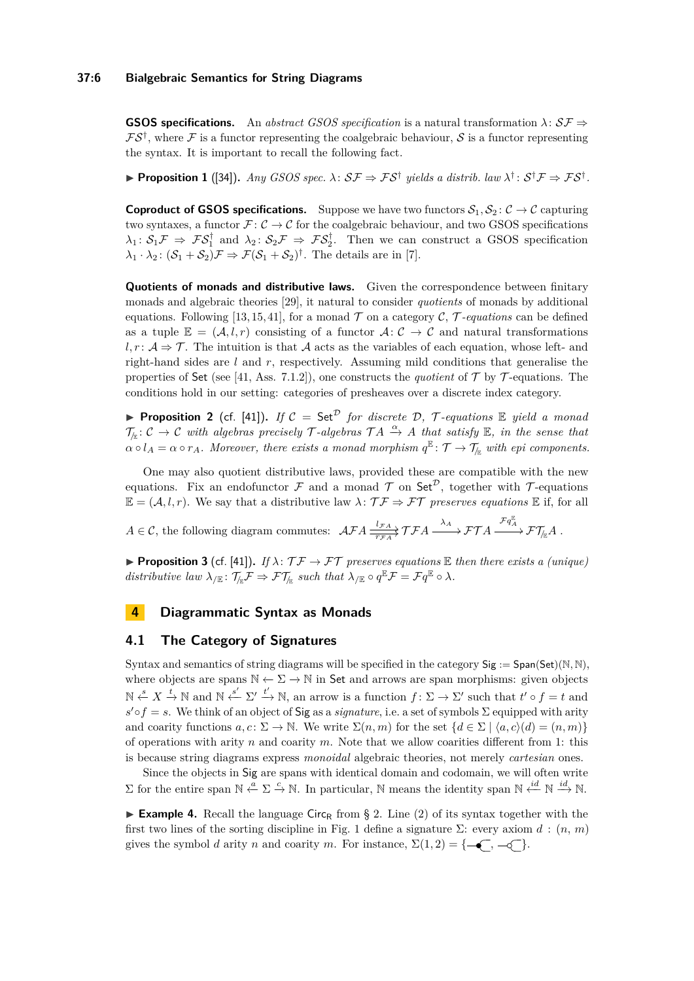# **37:6 Bialgebraic Semantics for String Diagrams**

**GSOS specifications.** An *abstract GSOS specification* is a natural transformation  $\lambda: \mathcal{SF} \Rightarrow$  $\mathcal{FS}^{\dagger}$ , where  $\mathcal F$  is a functor representing the coalgebraic behaviour,  $\mathcal S$  is a functor representing the syntax. It is important to recall the following fact.

<span id="page-5-3"></span>**► Proposition 1** ([\[34\]](#page-15-14)). *Any GSOS spec.*  $\lambda$ :  $S\mathcal{F} \Rightarrow \mathcal{F}S^{\dagger}$  yields a distrib. law  $\lambda^{\dagger}$ :  $S^{\dagger}\mathcal{F} \Rightarrow \mathcal{F}S^{\dagger}$ .

**Coproduct of GSOS specifications.** Suppose we have two functors  $S_1, S_2$ :  $C \rightarrow C$  capturing two syntaxes, a functor  $\mathcal{F} : \mathcal{C} \to \mathcal{C}$  for the coalgebraic behaviour, and two GSOS specifications  $\lambda_1: S_1 \mathcal{F} \Rightarrow \mathcal{F} S_1^{\dagger}$  and  $\lambda_2: S_2 \mathcal{F} \Rightarrow \mathcal{F} S_2^{\dagger}$ . Then we can construct a GSOS specification  $\lambda_1 \cdot \lambda_2$ :  $(S_1 + S_2)$ *F*  $\Rightarrow$  *F*( $S_1 + S_2$ )<sup>†</sup>. The details are in [\[7\]](#page-14-0).

**Quotients of monads and distributive laws.** Given the correspondence between finitary monads and algebraic theories [\[29\]](#page-15-15), it natural to consider *quotients* of monads by additional equations. Following [\[13,](#page-15-16) [15,](#page-15-17) [41\]](#page-16-8), for a monad  $\mathcal T$  on a category  $\mathcal C$ ,  $\mathcal T$ *-equations* can be defined as a tuple  $\mathbb{E} = (\mathcal{A}, l, r)$  consisting of a functor  $\mathcal{A}: \mathcal{C} \to \mathcal{C}$  and natural transformations  $l, r : A \Rightarrow \mathcal{T}$ . The intuition is that A acts as the variables of each equation, whose left- and right-hand sides are *l* and *r*, respectively. Assuming mild conditions that generalise the properties of Set (see [\[41,](#page-16-8) Ass. 7.1.2]), one constructs the *quotient* of  $\mathcal T$  by  $\mathcal T$ -equations. The conditions hold in our setting: categories of presheaves over a discrete index category.

<span id="page-5-1"></span>**Proposition 2** (cf. [\[41\]](#page-16-8)). If  $C = \mathsf{Set}^{\mathcal{D}}$  *for discrete*  $D$ ,  $\mathcal{T}$ -equations  $\mathbb{E}$  yield a monad  $\mathcal{T}_{\mathbb{R}}: \mathcal{C} \to \mathcal{C}$  with algebras precisely  $\mathcal{T}$ -algebras  $\mathcal{T}A \xrightarrow{\alpha} A$  that satisfy  $\mathbb{E}$ , in the sense that  $\alpha \circ l_A = \alpha \circ r_A$ . Moreover, there exists a monad morphism  $q^{\mathbb{E}} \colon \mathcal{T} \to \mathcal{T}_{\mathbb{E}}$  with epi components.

One may also quotient distributive laws, provided these are compatible with the new equations. Fix an endofunctor  $\mathcal F$  and a monad  $\mathcal T$  on Set<sup> $\mathcal D$ </sup>, together with  $\mathcal T$ -equations  $\mathbb{E} = (\mathcal{A}, l, r)$ . We say that a distributive law  $\lambda \colon \mathcal{T} \mathcal{F} \Rightarrow \mathcal{FT}$  preserves equations  $\mathbb E$  if, for all

 $A \in \mathcal{C}$ , the following diagram commutes:  $\mathcal{AFA} \xrightarrow[\tau_{FA}]{l_{FA}} \mathcal{TFA} \xrightarrow{\lambda_A} \mathcal{FTA} \xrightarrow{\mathcal{F}q_A^{\mathbb{E}}} \mathcal{F}\mathcal{T}_{\mathbb{A}}A$ .

<span id="page-5-4"></span>**Proposition 3** (cf. [\[41\]](#page-16-8)). *If*  $\lambda$ :  $\mathcal{T}\mathcal{F} \to \mathcal{FT}$  preserves equations  $\mathbb E$  then there exists a (unique)  $distributive \, law \, \lambda_{/\mathbb{E}} \colon \mathcal{T}_{/\mathbb{E}} \mathcal{F} \Rightarrow \mathcal{FT}_{/\mathbb{E}} \, such \, that \, \lambda_{/\mathbb{E}} \circ q^{\mathbb{E}} \mathcal{F} = \mathcal{F}q^{\mathbb{E}} \circ \lambda.$ 

# <span id="page-5-0"></span>**4 Diagrammatic Syntax as Monads**

### **4.1 The Category of Signatures**

Syntax and semantics of string diagrams will be specified in the category  $Sig := Span(Set)(N, N)$ , where objects are spans  $\mathbb{N} \leftarrow \Sigma \rightarrow \mathbb{N}$  in Set and arrows are span morphisms: given objects  $\mathbb{N} \stackrel{s}{\leftarrow} X \stackrel{t}{\rightarrow} \mathbb{N}$  and  $\mathbb{N} \stackrel{s'}{\leftarrow} \Sigma' \stackrel{t'}{\rightarrow} \mathbb{N}$ , an arrow is a function  $f: \Sigma \rightarrow \Sigma'$  such that  $t' \circ f = t$  and  $s' \circ f = s$ . We think of an object of Sig as a *signature*, i.e. a set of symbols  $\Sigma$  equipped with arity and coarity functions  $a, c: \Sigma \to \mathbb{N}$ . We write  $\Sigma(n, m)$  for the set  $\{d \in \Sigma \mid \langle a, c \rangle (d) = (n, m)\}$ of operations with arity *n* and coarity *m*. Note that we allow coarities different from 1: this is because string diagrams express *monoidal* algebraic theories, not merely *cartesian* ones.

Since the objects in Sig are spans with identical domain and codomain, we will often write  $\Sigma$  for the entire span  $\mathbb{N} \stackrel{a}{\leftarrow} \Sigma \stackrel{c}{\rightarrow} \mathbb{N}$ . In particular,  $\mathbb{N}$  means the identity span  $\mathbb{N} \stackrel{i d}{\leftarrow} \mathbb{N} \stackrel{i d}{\rightarrow} \mathbb{N}$ .

<span id="page-5-2"></span>**Example 4.** Recall the language Circ<sub>R</sub> from § [2.](#page-2-0) Line [\(2\)](#page-2-3) of its syntax together with the first two lines of the sorting discipline in Fig. [1](#page-2-1) define a signature Σ: every axiom *d* : (*n, m*) gives the symbol *d* arity *n* and coarity *m*. For instance, Σ(1*,* 2) = { *,* }.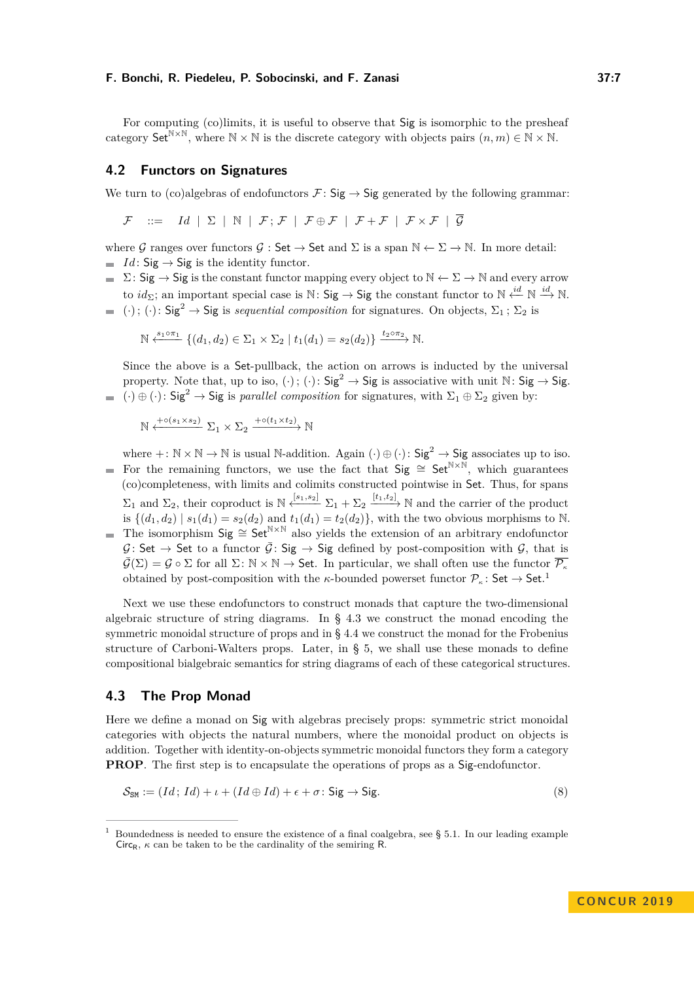For computing (co)limits, it is useful to observe that Sig is isomorphic to the presheaf category Set<sup>N×N</sup>, where  $N \times N$  is the discrete category with objects pairs  $(n, m) \in N \times N$ .

# **4.2 Functors on Signatures**

We turn to (co)algebras of endofunctors  $\mathcal{F}:$  Sig  $\rightarrow$  Sig generated by the following grammar:

 $\mathcal{F}$  ::= *Id*  $\vert \Sigma \vert \mathbb{N} \vert \mathcal{F}; \mathcal{F} \vert \mathcal{F} \oplus \mathcal{F} \vert \mathcal{F} + \mathcal{F} \vert \mathcal{F} \times \mathcal{F} \vert \overline{\mathcal{G}}$ 

where G ranges over functors  $G : \mathsf{Set} \to \mathsf{Set}$  and  $\Sigma$  is a span  $\mathbb{N} \leftarrow \Sigma \to \mathbb{N}$ . In more detail:  $I d$ : Sig  $\rightarrow$  Sig is the identity functor.

- $\blacksquare$  Σ: Sig → Sig is the constant functor mapping every object to  $\mathbb{N} \leftarrow \Sigma \rightarrow \mathbb{N}$  and every arrow to *id*<sub>Σ</sub>; an important special case is N: Sig → Sig the constant functor to N  $\xleftarrow{id}$  N  $\xrightarrow{id}$  N.
- (·); (·):  $\text{Sig}^2 \to \text{Sig}$  is *sequential composition* for signatures. On objects,  $\Sigma_1$ ;  $\Sigma_2$  is

$$
\mathbb{N} \xleftarrow{s_1 \circ \pi_1} \{ (d_1, d_2) \in \Sigma_1 \times \Sigma_2 \mid t_1(d_1) = s_2(d_2) \} \xrightarrow{t_2 \circ \pi_2} \mathbb{N}.
$$

Since the above is a Set-pullback, the action on arrows is inducted by the universal property. Note that, up to iso, (·); (·):  $\text{Sig}^2 \to \text{Sig}$  is associative with unit  $\mathbb{N}$ :  $\text{Sig} \to \text{Sig}$ .  $(·) ⊕ (·) : Sig<sup>2</sup> → Sig is *parallel composition* for signatures, with  $\Sigma_1 ⊕ \Sigma_2$  given by:$ 

 $\mathbb{N} \xleftarrow{+ \circ (s_1 \times s_2)} \Sigma_1 \times \Sigma_2 \xrightarrow{+ \circ (t_1 \times t_2)} \mathbb{N}$ 

where  $+: \mathbb{N} \times \mathbb{N} \to \mathbb{N}$  is usual N-addition. Again  $(\cdot) \oplus (\cdot)$ :  $\mathsf{Sig}^2 \to \mathsf{Sig}$  associates up to iso. For the remaining functors, we use the fact that  $Sig \cong Set^{N \times N}$ , which guarantees  $\equiv$ (co)completeness, with limits and colimits constructed pointwise in Set. Thus, for spans  $\Sigma_1$  and  $\Sigma_2$ , their coproduct is  $\mathbb{N} \stackrel{[s_1,s_2]}{\longleftrightarrow} \Sigma_1 + \Sigma_2 \stackrel{[t_1,t_2]}{\longrightarrow} \mathbb{N}$  and the carrier of the product is  $\{(d_1, d_2) | s_1(d_1) = s_2(d_2) \text{ and } t_1(d_1) = t_2(d_2)\}\$ , with the two obvious morphisms to N. The isomorphism Sig ≅ Set<sup>N×N</sup> also yields the extension of an arbitrary endofunctor  $\mathcal{G} \colon \mathsf{Set} \to \mathsf{Set}$  to a functor  $\overline{\mathcal{G}} \colon \mathsf{Sig} \to \mathsf{Sig}$  defined by post-composition with  $\mathcal{G}$ , that is  $\overline{\mathcal{G}}(\Sigma) = \mathcal{G} \circ \Sigma$  for all  $\Sigma: \mathbb{N} \times \mathbb{N} \to \mathsf{Set}$ . In particular, we shall often use the functor  $\overline{\mathcal{P}_{\kappa}}$ obtained by post-composition with the *κ*-bounded powerset functor  $\mathcal{P}_{\kappa}$ : Set  $\rightarrow$  Set.<sup>[1](#page-6-0)</sup>

Next we use these endofunctors to construct monads that capture the two-dimensional algebraic structure of string diagrams. In § [4.3](#page-6-1) we construct the monad encoding the symmetric monoidal structure of props and in § [4.4](#page-7-0) we construct the monad for the Frobenius structure of Carboni-Walters props. Later, in § [5,](#page-8-0) we shall use these monads to define compositional bialgebraic semantics for string diagrams of each of these categorical structures.

### <span id="page-6-1"></span>**4.3 The Prop Monad**

Here we define a monad on Sig with algebras precisely props: symmetric strict monoidal categories with objects the natural numbers, where the monoidal product on objects is addition. Together with identity-on-objects symmetric monoidal functors they form a category **PROP**. The first step is to encapsulate the operations of props as a Sig-endofunctor.

<span id="page-6-2"></span>
$$
S_{\text{SM}} := (Id; Id) + \iota + (Id \oplus Id) + \epsilon + \sigma \colon \text{Sig} \to \text{Sig}.
$$
 (8)

<span id="page-6-0"></span><sup>1</sup> Boundedness is needed to ensure the existence of a final coalgebra, see § [5.1.](#page-8-1) In our leading example Circ<sub>R</sub>,  $\kappa$  can be taken to be the cardinality of the semiring R.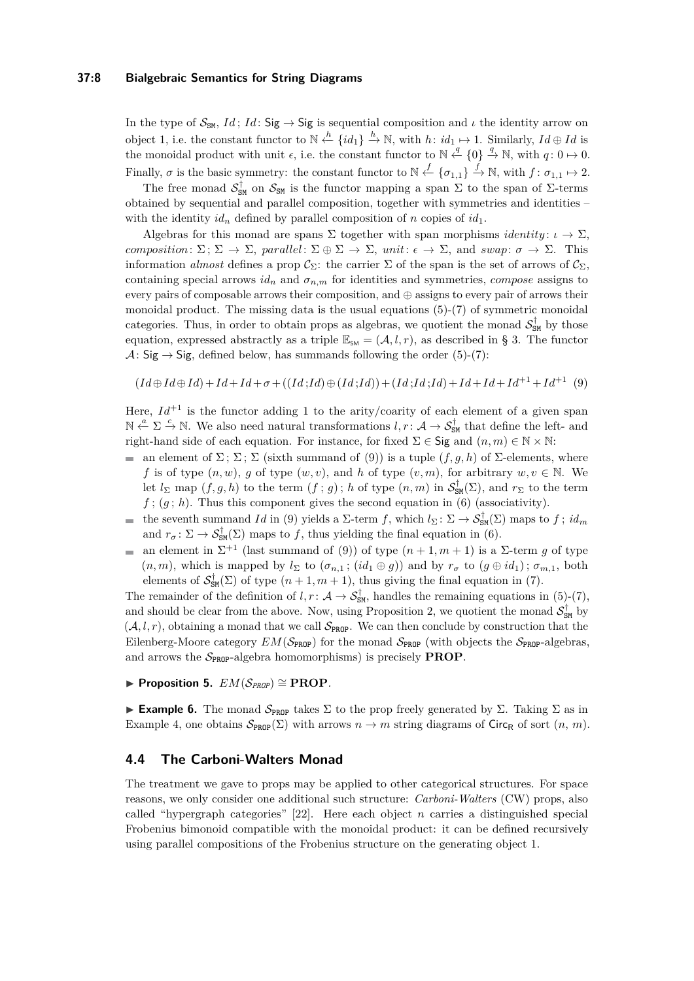## **37:8 Bialgebraic Semantics for String Diagrams**

In the type of  $S_{SM}$ , *Id*; *Id*: Sig  $\rightarrow$  Sig is sequential composition and *ι* the identity arrow on object 1, i.e. the constant functor to  $\mathbb{N} \stackrel{h}{\leftarrow} \{id_1\} \stackrel{h}{\rightarrow} \mathbb{N}$ , with  $h: id_1 \mapsto 1$ . Similarly,  $Id \oplus Id$  is the monoidal product with unit  $\epsilon$ , i.e. the constant functor to  $\mathbb{N} \stackrel{q}{\leftarrow} \{0\} \stackrel{q}{\rightarrow} \mathbb{N}$ , with  $q: 0 \mapsto 0$ . Finally,  $\sigma$  is the basic symmetry: the constant functor to  $\mathbb{N} \stackrel{f}{\leftarrow} \{\sigma_{1,1}\} \stackrel{f}{\rightarrow} \mathbb{N}$ , with  $f: \sigma_{1,1} \mapsto 2$ .

The free monad  $S_{SM}^{\dagger}$  on  $S_{SM}$  is the functor mapping a span  $\Sigma$  to the span of  $\Sigma$ -terms obtained by sequential and parallel composition, together with symmetries and identities – with the identity  $id_n$  defined by parallel composition of *n* copies of  $id_1$ .

Algebras for this monad are spans  $\Sigma$  together with span morphisms *identity*:  $\iota \to \Sigma$ , *composition*:  $\Sigma: \Sigma \to \Sigma$ , *parallel*:  $\Sigma \oplus \Sigma \to \Sigma$ , *unit*:  $\epsilon \to \Sigma$ , and *swap*:  $\sigma \to \Sigma$ . This information *almost* defines a prop  $\mathcal{C}_{\Sigma}$ : the carrier  $\Sigma$  of the span is the set of arrows of  $\mathcal{C}_{\Sigma}$ , containing special arrows  $id_n$  and  $\sigma_{n,m}$  for identities and symmetries, *compose* assigns to every pairs of composable arrows their composition, and ⊕ assigns to every pair of arrows their monoidal product. The missing data is the usual equations  $(5)-(7)$  $(5)-(7)$  $(5)-(7)$  of symmetric monoidal categories. Thus, in order to obtain props as algebras, we quotient the monad  $S_{\text{SM}}^{\dagger}$  by those equation, expressed abstractly as a triple  $\mathbb{E}_{SM} = (\mathcal{A}, l, r)$ , as described in § [3.](#page-4-0) The functor  $\mathcal{A}$ : Sig  $\rightarrow$  Sig, defined below, has summands following the order [\(5\)](#page-3-2)-[\(7\)](#page-3-2):

<span id="page-7-1"></span>
$$
(Id \oplus Id \oplus Id) + Id + Id + \sigma + ((Id;Id) \oplus (Id;Id)) + (Id;Id) + Id + Id + Id + Id^{+1} + Id^{+1} (9)
$$

Here,  $Id^{+1}$  is the functor adding 1 to the arity/coarity of each element of a given span  $\mathbb{N} \stackrel{a}{\leftarrow} \Sigma \stackrel{c}{\rightarrow} \mathbb{N}$ . We also need natural transformations  $l, r : \mathcal{A} \rightarrow \mathcal{S}_{\text{SM}}^{\dagger}$  that define the left- and right-hand side of each equation. For instance, for fixed  $\Sigma \in \mathsf{Sig}$  and  $(n, m) \in \mathbb{N} \times \mathbb{N}$ :

- an element of  $\Sigma$ ;  $\Sigma$ ;  $\Sigma$  (sixth summand of [\(9\)](#page-7-1)) is a tuple  $(f, g, h)$  of  $\Sigma$ -elements, where *f* is of type  $(n, w)$ , *g* of type  $(w, v)$ , and *h* of type  $(v, m)$ , for arbitrary  $w, v \in \mathbb{N}$ . We let  $l_{\Sigma}$  map  $(f, g, h)$  to the term  $(f, g)$ ; *h* of type  $(n, m)$  in  $S_{SM}^{\dagger}(\Sigma)$ , and  $r_{\Sigma}$  to the term  $f$ ;  $(g; h)$ . Thus this component gives the second equation in [\(6\)](#page-3-2) (associativity).
- the seventh summand *Id* in [\(9\)](#page-7-1) yields a  $\Sigma$ -term *f*, which  $l_{\Sigma} : \Sigma \to \mathcal{S}_{\text{SM}}^{+}(\Sigma)$  maps to *f*;  $id_m$  $\blacksquare$ and  $r_{\sigma} : \Sigma \to \mathcal{S}_{\text{SM}}^{\dagger}(\Sigma)$  maps to f, thus yielding the final equation in [\(6\)](#page-3-2).
- an element in  $\Sigma^{+1}$  (last summand of [\(9\)](#page-7-1)) of type  $(n+1, m+1)$  is a  $\Sigma$ -term *g* of type  $\mathcal{L}_{\mathcal{A}}$  $(n, m)$ , which is mapped by  $l_{\Sigma}$  to  $(\sigma_{n,1} ; (id_1 \oplus g))$  and by  $r_{\sigma}$  to  $(g \oplus id_1) ; \sigma_{m,1}$ , both elements of  $S_{\text{SM}}^{\dagger}(\Sigma)$  of type  $(n+1, m+1)$ , thus giving the final equation in [\(7\)](#page-3-2).

The remainder of the definition of  $l, r \colon \mathcal{A} \to \mathcal{S}_{\text{SM}}^{\dagger}$ , handles the remaining equations in [\(5\)](#page-3-2)-[\(7\)](#page-3-2), and should be clear from the above. Now, using Proposition [2,](#page-5-1) we quotient the monad  $S_{\text{SM}}^{\dagger}$  by  $(\mathcal{A}, l, r)$ , obtaining a monad that we call  $\mathcal{S}_{\text{PROP}}$ . We can then conclude by construction that the Eilenberg-Moore category  $EM(\mathcal{S}_{\text{PROP}})$  for the monad  $\mathcal{S}_{\text{PROP}}$  (with objects the  $\mathcal{S}_{\text{PROP}}$ -algebras, and arrows the  $S_{\text{PROP}}$ -algebra homomorphisms) is precisely **PROP**.

<span id="page-7-2"></span> $\blacktriangleright$  **Proposition 5.**  $EM(\mathcal{S}_{PROP}) \cong \textbf{PROP}$ .

**Example 6.** The monad  $S_{\text{PROP}}$  takes  $\Sigma$  to the prop freely generated by  $\Sigma$ . Taking  $\Sigma$  as in Example [4,](#page-5-2) one obtains  $\mathcal{S}_{\text{PROP}}(\Sigma)$  with arrows  $n \to m$  string diagrams of Circ<sub>R</sub> of sort  $(n, m)$ .

# <span id="page-7-0"></span>**4.4 The Carboni-Walters Monad**

The treatment we gave to props may be applied to other categorical structures. For space reasons, we only consider one additional such structure: *Carboni-Walters* (CW) props, also called "hypergraph categories" [\[22\]](#page-15-18). Here each object *n* carries a distinguished special Frobenius bimonoid compatible with the monoidal product: it can be defined recursively using parallel compositions of the Frobenius structure on the generating object 1.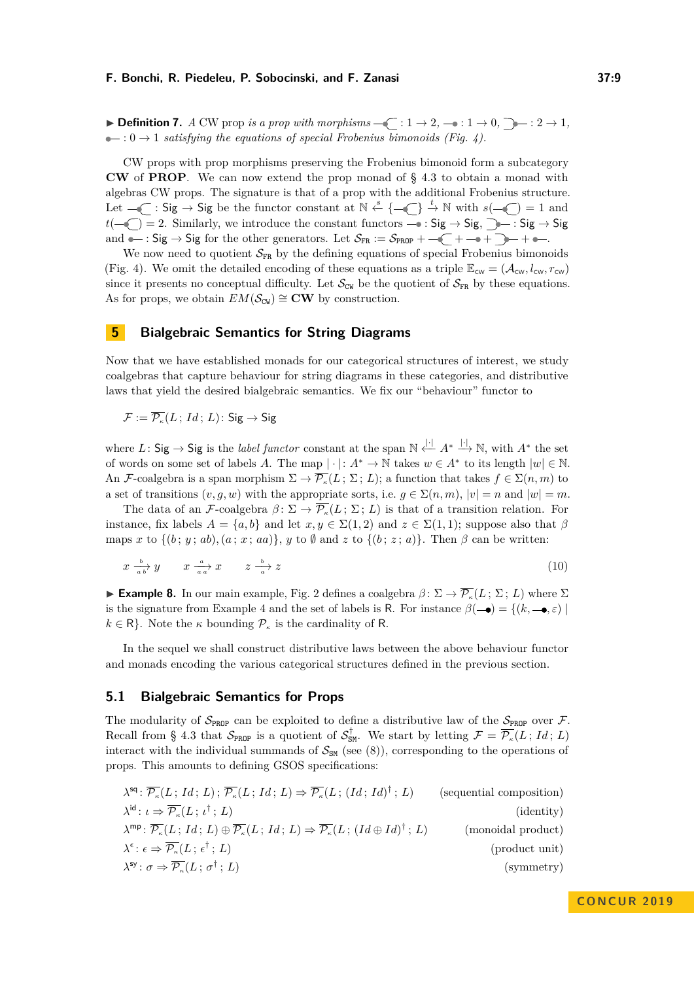▶ **Definition 7.** *A* CW prop *is a prop with morphisms*  $\text{−}$   $\text{−}$  : 1 → 2*,*  $\text{−}$   $\text{·}$  1 → 0*,*  $\text{−}$  : 2 → 1*,*  $\bullet$  : 0  $\rightarrow$  1 *satisfying the equations of special Frobenius bimonoids (Fig. [4\)](#page-4-1).* 

CW props with prop morphisms preserving the Frobenius bimonoid form a subcategory **CW** of **PROP**. We can now extend the prop monad of § [4.3](#page-6-1) to obtain a monad with algebras CW props. The signature is that of a prop with the additional Frobenius structure. Let  $-\left\langle \begin{array}{c} \n\cdot & \cdot \end{array} \right.$  Sig be the functor constant at  $\mathbb{N} \stackrel{s}{\leftarrow} \{-\left\langle \begin{array}{c} \n\cdot \end{array} \right. \right.$   $\stackrel{t}{\rightarrow} \mathbb{N}$  with  $s(-\left\langle \begin{array}{c} \n\cdot \end{array} \right. = 1$  and  $t(-\sqrt{\phantom{a}})=2.$  Similarly, we introduce the constant functors  $\rightarrow$  : Sig  $\rightarrow$  Sig,  $\rightarrow$  : Sig  $\rightarrow$  Sig and  $\bullet$ : Sig  $\rightarrow$  Sig for the other generators. Let  $S_{FR} := S_{PROP} + \bullet \quad (+ \rightarrow + \rightarrow + \bullet + \bullet)$ .

We now need to quotient  $S_{FR}$  by the defining equations of special Frobenius bimonoids (Fig. [4\)](#page-4-1). We omit the detailed encoding of these equations as a triple  $\mathbb{E}_{\text{cw}} = (\mathcal{A}_{\text{cw}}, l_{\text{cw}}, r_{\text{cw}})$ since it presents no conceptual difficulty. Let  $\mathcal{S}_{\text{CW}}$  be the quotient of  $\mathcal{S}_{\text{FR}}$  by these equations. As for props, we obtain  $EM(\mathcal{S}_{\text{CW}}) \cong \mathbf{CW}$  by construction.

# <span id="page-8-0"></span>**5 Bialgebraic Semantics for String Diagrams**

Now that we have established monads for our categorical structures of interest, we study coalgebras that capture behaviour for string diagrams in these categories, and distributive laws that yield the desired bialgebraic semantics. We fix our "behaviour" functor to

$$
\mathcal{F} := \overline{\mathcal{P}_{\kappa}}(L; Id; L) \colon \mathsf{Sig} \to \mathsf{Sig}
$$

where *L*: Sig  $\rightarrow$  Sig is the *label functor* constant at the span  $\mathbb{N} \stackrel{|{\cdot}|}{\leftarrow} A^* \stackrel{|{\cdot}|}{\rightarrow} \mathbb{N}$ , with  $A^*$  the set of words on some set of labels *A*. The map  $|\cdot|: A^* \to \mathbb{N}$  takes  $w \in A^*$  to its length  $|w| \in \mathbb{N}$ . An F-coalgebra is a span morphism  $\Sigma \to \overline{\mathcal{P}_k}(L;\Sigma;L)$ ; a function that takes  $f \in \Sigma(n,m)$  to a set of transitions  $(v, g, w)$  with the appropriate sorts, i.e.  $g \in \Sigma(n, m)$ ,  $|v| = n$  and  $|w| = m$ .

The data of an  $\mathcal{F}\text{-coalgebra } \beta: \Sigma \to \overline{\mathcal{P}_{\kappa}}(L; \Sigma; L)$  is that of a transition relation. For instance, fix labels  $A = \{a, b\}$  and let  $x, y \in \Sigma(1, 2)$  and  $z \in \Sigma(1, 1)$ ; suppose also that  $\beta$ maps *x* to  $\{(b; y; ab), (a; x; aa)\}$ , *y* to Ø and *z* to  $\{(b; z; a)\}$ . Then  $\beta$  can be written:

<span id="page-8-2"></span>
$$
x \xrightarrow[a \ b]{b} y \qquad x \xrightarrow[a \ a]{a} x \qquad z \xrightarrow[a]{b} z \tag{10}
$$

<span id="page-8-3"></span>**Example 8.** In our main example, Fig. [2](#page-2-2) defines a coalgebra  $\beta$ :  $\Sigma \to \overline{\mathcal{P}_{\kappa}}(L; \Sigma; L)$  where  $\Sigma$ is the signature from Example [4](#page-5-2) and the set of labels is R. For instance  $\beta(-\bullet) = \{(k, -\bullet, \varepsilon) \mid$  $k \in \mathsf{R}$ . Note the  $\kappa$  bounding  $\mathcal{P}_{\kappa}$  is the cardinality of **R**.

In the sequel we shall construct distributive laws between the above behaviour functor and monads encoding the various categorical structures defined in the previous section.

### <span id="page-8-1"></span>**5.1 Bialgebraic Semantics for Props**

The modularity of  $S_{\text{PROP}}$  can be exploited to define a distributive law of the  $S_{\text{PROP}}$  over F. Recall from § [4.3](#page-6-1) that  $S_{\text{PROP}}$  is a quotient of  $S_{\text{SM}}^{\dagger}$ . We start by letting  $\mathcal{F} = \overline{\mathcal{P}_{\kappa}}(L; Id; L)$ interact with the individual summands of  $S_{\text{SM}}$  (see [\(8\)](#page-6-2)), corresponding to the operations of props. This amounts to defining GSOS specifications:

| $\lambda^{\text{sq}}$ : $\overline{\mathcal{P}_{\kappa}}(L; Id; L)$ ; $\overline{\mathcal{P}_{\kappa}}(L; Id; L) \Rightarrow \overline{\mathcal{P}_{\kappa}}(L; (Id; Id)^{\dagger}; L)$               | (sequential composition) |
|-------------------------------------------------------------------------------------------------------------------------------------------------------------------------------------------------------|--------------------------|
| $\lambda^{id}$ : $\iota \Rightarrow \overline{\mathcal{P}_{\kappa}}(L; \iota^{\dagger}; L)$                                                                                                           | (identity)               |
| $\lambda^{\mathsf{mp}} \colon \overline{\mathcal{P}_{\kappa}}(L; Id; L) \oplus \overline{\mathcal{P}_{\kappa}}(L; Id; L) \Rightarrow \overline{\mathcal{P}_{\kappa}}(L; (Id \oplus Id)^{\dagger}; L)$ | (monoidal product)       |
| $\lambda^{\epsilon}$ : $\epsilon \Rightarrow \overline{\mathcal{P}_{\kappa}}(L; \epsilon^{\dagger}; L)$                                                                                               | (product unit)           |
| $\lambda^{\mathsf{sy}}$ : $\sigma \Rightarrow \overline{\mathcal{P}_{\kappa}}(L; \sigma^{\dagger}; L)$                                                                                                | (symmetry)               |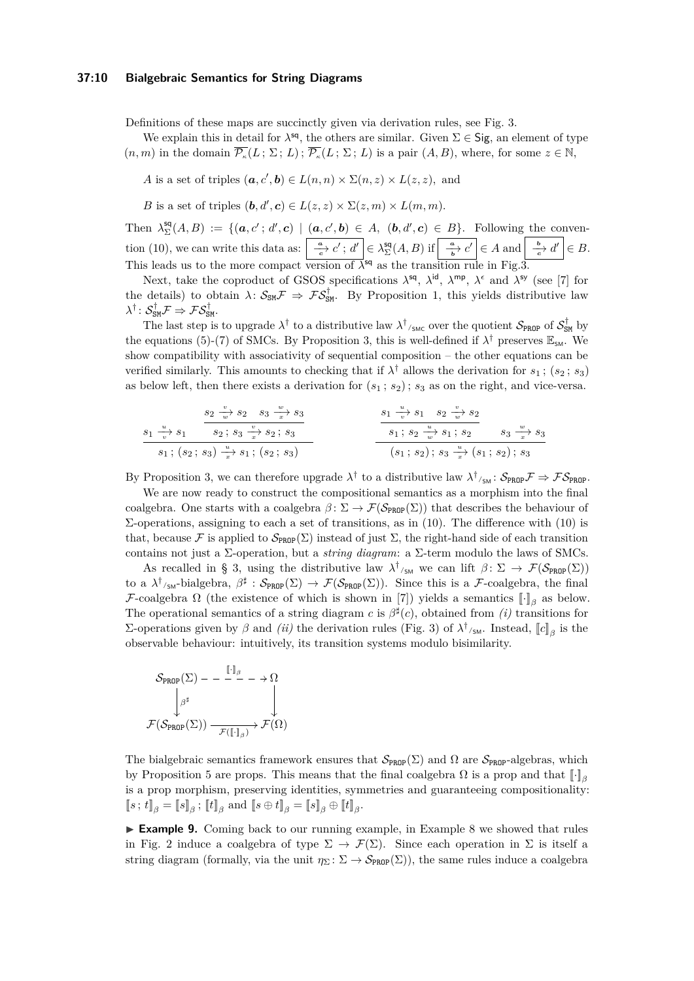### **37:10 Bialgebraic Semantics for String Diagrams**

Definitions of these maps are succinctly given via derivation rules, see Fig. [3.](#page-3-0)

We explain this in detail for  $\lambda^{sq}$ , the others are similar. Given  $\Sigma \in \mathsf{Sig}$ , an element of type  $(n, m)$  in the domain  $\overline{\mathcal{P}_{\kappa}}(L; \Sigma; L)$ ;  $\overline{\mathcal{P}_{\kappa}}(L; \Sigma; L)$  is a pair  $(A, B)$ , where, for some  $z \in \mathbb{N}$ ,

*A* is a set of triples  $(a, c', b) \in L(n, n) \times \Sigma(n, z) \times L(z, z)$ , and

*B* is a set of triples  $(b, d', c) \in L(z, z) \times \Sigma(z, m) \times L(m, m)$ .

Then  $\lambda_{\Sigma}^{\mathsf{sq}}(A, B) := \{(\mathbf{a}, c'; d', \mathbf{c}) \mid (\mathbf{a}, c', \mathbf{b}) \in A, (\mathbf{b}, d', \mathbf{c}) \in B\}$ . Following the conven-tion [\(10\)](#page-8-2), we can write this data as:  $\left| \frac{a}{c} \cdot c' \, ; \, d' \right| \in \lambda^{\text{sq}}_{\Sigma}(A, B)$  if  $\left| \frac{a}{b} \cdot c' \right| \in A$  and  $\left| \frac{b}{c} \cdot d' \right| \in B$ . This leads us to the more compact version of  $\lambda^{\text{sq}}$  as the transition rule in Fig[.3.](#page-3-0)

Next, take the coproduct of GSOS specifications  $\lambda^{sq}$ ,  $\lambda^{id}$ ,  $\lambda^{mp}$ ,  $\lambda^{\epsilon}$  and  $\lambda^{sy}$  (see [\[7\]](#page-14-0) for the details) to obtain  $\lambda: \mathcal{S}_{\text{SM}}\mathcal{F} \Rightarrow \mathcal{F}\mathcal{S}_{\text{SM}}^{\dagger}$ . By Proposition [1,](#page-5-3) this yields distributive law  $\lambda^\dagger\colon \mathcal{S}_{\texttt{SM}}^\dagger\mathcal{F} \Rightarrow \mathcal{F}\mathcal{S}_{\texttt{SM}}^\dagger.$ 

The last step is to upgrade  $\lambda^{\dagger}$  to a distributive law  $\lambda^{\dagger}$ <sub>/SMC</sub> over the quotient  $S_{\text{PROP}}$  of  $S_{\text{SM}}^{\dagger}$  by the equations [\(5\)](#page-3-2)-[\(7\)](#page-3-2) of SMCs. By Proposition [3,](#page-5-4) this is well-defined if  $\lambda^{\dagger}$  preserves  $\mathbb{E}_{\text{SM}}$ . We show compatibility with associativity of sequential composition – the other equations can be verified similarly. This amounts to checking that if  $\lambda^{\dagger}$  allows the derivation for  $s_1$ ;  $(s_2; s_3)$ as below left, then there exists a derivation for  $(s_1; s_2)$ ;  $s_3$  as on the right, and vice-versa.

*s*1 *<sup>u</sup>*−→*<sup>v</sup> s*1 *s*2 *v*−→*w s*<sup>2</sup> *s*<sup>3</sup> *<sup>w</sup>*−→*<sup>x</sup> s*3 *s*<sup>2</sup> ; *s*<sup>3</sup> *v*−→*x s*<sup>2</sup> ; *s*<sup>3</sup> *s*<sup>1</sup> ; (*s*<sup>2</sup> ; *s*3) *<sup>u</sup>*−→*<sup>x</sup> s*<sup>1</sup> ; (*s*<sup>2</sup> ; *s*3) *s*1 *<sup>u</sup>*−→*<sup>v</sup> s*<sup>1</sup> *s*<sup>2</sup> *v*−→*w s*2 *s*<sup>1</sup> ; *s*<sup>2</sup> *<sup>u</sup>*−→*<sup>w</sup> s*<sup>1</sup> ; *s*<sup>2</sup> *s*<sup>3</sup> *<sup>w</sup>*−→*<sup>x</sup> s*3 (*s*<sup>1</sup> ; *s*2) ; *s*<sup>3</sup> *<sup>u</sup>*−→*<sup>x</sup>* (*s*<sup>1</sup> ; *s*2) ; *s*<sup>3</sup>

By Proposition [3,](#page-5-4) we can therefore upgrade  $\lambda^{\dagger}$  to a distributive law  $\lambda^{\dagger}/_{SM}$ :  $S_{PROP} \mathcal{F} \Rightarrow \mathcal{F} S_{PROP}$ .

We are now ready to construct the compositional semantics as a morphism into the final coalgebra. One starts with a coalgebra  $\beta \colon \Sigma \to \mathcal{F}(\mathcal{S}_{\text{PROP}}(\Sigma))$  that describes the behaviour of Σ-operations, assigning to each a set of transitions, as in [\(10\)](#page-8-2). The difference with [\(10\)](#page-8-2) is that, because F is applied to  $\mathcal{S}_{\text{PROP}}(\Sigma)$  instead of just  $\Sigma$ , the right-hand side of each transition contains not just a Σ-operation, but a *string diagram*: a Σ-term modulo the laws of SMCs.

As recalled in § [3,](#page-4-0) using the distributive law  $\lambda^{\dagger}_{\mathsf{S}^{\mathsf{M}}}$  we can lift  $\beta: \Sigma \to \mathcal{F}(\mathcal{S}_{\text{PROP}}(\Sigma))$ to a  $\lambda^{\dagger}/_{\text{SM}}$ -bialgebra,  $\beta^{\sharp}: \mathcal{S}_{\text{PROP}}(\Sigma) \to \mathcal{F}(\mathcal{S}_{\text{PROP}}(\Sigma))$ . Since this is a  $\mathcal{F}\text{-coalgebra}$ , the final F-coalgebra  $\Omega$  (the existence of which is shown in [\[7\]](#page-14-0)) yields a semantics  $\llbracket \cdot \rrbracket_\beta$  as below. The operational semantics of a string diagram *c* is  $\beta^{\sharp}(c)$ , obtained from *(i)* transitions for Σ-operations given by *β* and *(ii)* the derivation rules (Fig. [3\)](#page-3-0) of  $\lambda^{\dagger}$ <sub>/SM</sub>. Instead,  $[[c]]_{\beta}$  is the observable behaviour: intuitively, its transition systems modulo bisimilarity.

$$
\mathcal{S}_{\text{PROP}}(\Sigma) - - \xrightarrow{\llbracket \cdot \rrbracket_{\beta}} - \to \Omega
$$
\n
$$
\downarrow^{\beta^{\sharp}}
$$
\n
$$
\mathcal{F}(\mathcal{S}_{\text{PROP}}(\Sigma)) \xrightarrow{\qquad \qquad \downarrow} \mathcal{F}(\Omega)
$$

The bialgebraic semantics framework ensures that  $\mathcal{S}_{\text{PROP}}(\Sigma)$  and  $\Omega$  are  $\mathcal{S}_{\text{PROP}}$ -algebras, which by Proposition [5](#page-7-2) are props. This means that the final coalgebra  $\Omega$  is a prop and that  $\llbracket \cdot \rrbracket$ <sub>β</sub> is a prop morphism, preserving identities, symmetries and guaranteeing compositionality:  $[\![s; t]\!]_{\beta} = [\![s]\!]_{\beta}$ ;  $[\![t]\!]_{\beta}$  and  $[\![s \oplus t]\!]_{\beta} = [\![s]\!]_{\beta} \oplus [\![t]\!]_{\beta}$ .

► **Example 9.** Coming back to our running example, in Example [8](#page-8-3) we showed that rules in Fig. [2](#page-2-2) induce a coalgebra of type  $\Sigma \to \mathcal{F}(\Sigma)$ . Since each operation in  $\Sigma$  is itself a string diagram (formally, via the unit  $\eta_{\Sigma} : \Sigma \to \mathcal{S}_{\text{PROP}}(\Sigma)$ ), the same rules induce a coalgebra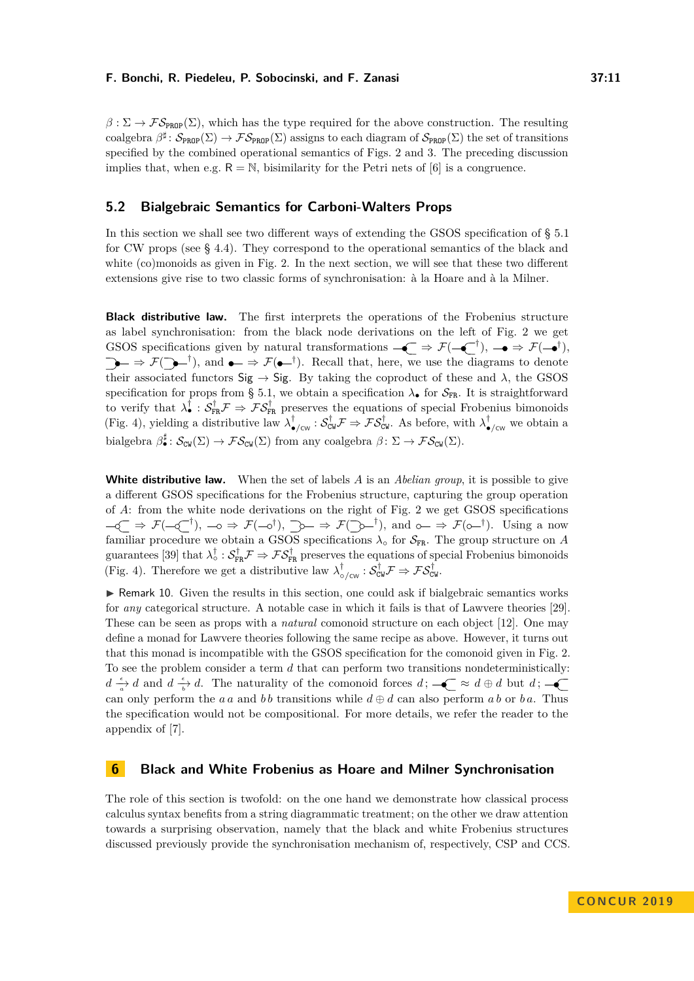$\beta : \Sigma \to \mathcal{FS}_{\text{PRDP}}(\Sigma)$ , which has the type required for the above construction. The resulting coalgebra  $\beta^{\sharp}: \mathcal{S}_{\text{PROP}}(\Sigma) \to \mathcal{FS}_{\text{PROP}}(\Sigma)$  assigns to each diagram of  $\mathcal{S}_{\text{PROP}}(\Sigma)$  the set of transitions specified by the combined operational semantics of Figs. [2](#page-2-2) and [3.](#page-3-0) The preceding discussion implies that, when e.g.  $R = N$ , bisimilarity for the Petri nets of [\[6\]](#page-14-5) is a congruence.

# <span id="page-10-1"></span>**5.2 Bialgebraic Semantics for Carboni-Walters Props**

In this section we shall see two different ways of extending the GSOS specification of § [5.1](#page-8-1) for CW props (see § [4.4\)](#page-7-0). They correspond to the operational semantics of the black and white (co)monoids as given in Fig. [2.](#page-2-2) In the next section, we will see that these two different extensions give rise to two classic forms of synchronisation: à la Hoare and à la Milner.

**Black distributive law.** The first interprets the operations of the Frobenius structure as label synchronisation: from the black node derivations on the left of Fig. [2](#page-2-2) we get GSOS specifications given by natural transformations  $-\epsilon \rightarrow \mathcal{F}(-\epsilon^{+}), -\epsilon \rightarrow \mathcal{F}(-\epsilon^{+}),$  $\Rightarrow \mathcal{F}(\rightarrowtail^{\dagger})$ , and  $\bullet \Rightarrow \mathcal{F}(\bullet \to^{\dagger})$ . Recall that, here, we use the diagrams to denote their associated functors  $Sig \rightarrow Sig$ . By taking the coproduct of these and  $\lambda$ , the GSOS specification for props from § [5.1,](#page-8-1) we obtain a specification  $\lambda_{\bullet}$  for  $S_{FR}$ . It is straightforward to verify that  $\lambda_{\bullet}^{\dagger} : S_{FR}^{\dagger} \mathcal{F} \Rightarrow \mathcal{F} S_{FR}^{\dagger}$  preserves the equations of special Frobenius bimonoids (Fig. [4\)](#page-4-1), yielding a distributive law  $\lambda_{\bullet/\text{cw}}^{\dagger} : \mathcal{S}_{\text{CW}}^{\dagger} \mathcal{F} \Rightarrow \mathcal{F} \mathcal{S}_{\text{CW}}^{\dagger}$ . As before, with  $\lambda_{\bullet/\text{cw}}^{\dagger}$  we obtain a bialgebra  $\beta_{\bullet}^{\sharp}$ :  $S_{\text{CW}}(\Sigma) \to \mathcal{FS}_{\text{CW}}(\Sigma)$  from any coalgebra  $\beta \colon \Sigma \to \mathcal{FS}_{\text{CW}}(\Sigma)$ .

**White distributive law.** When the set of labels *A* is an *Abelian group*, it is possible to give a different GSOS specifications for the Frobenius structure, capturing the group operation of *A*: from the white node derivations on the right of Fig. [2](#page-2-2) we get GSOS specifications  $\Rightarrow \mathcal{F}(-\overline{\zeta}^{-\dagger}), -\circ \Rightarrow \mathcal{F}(-\overline{\zeta})$ ,  $\Rightarrow \Rightarrow \mathcal{F}(\overline{\zeta})$ , and  $\circ \Rightarrow \Rightarrow \mathcal{F}(\overline{\zeta})$ . Using a now familiar procedure we obtain a GSOS specifications  $\lambda_{\text{o}}$  for  $\mathcal{S}_{FR}$ . The group structure on *A* guarantees [\[39\]](#page-16-9) that  $\lambda_o^{\dagger} : S_{FR}^{\dagger} \mathcal{F} \Rightarrow \mathcal{FS}_{FR}^{\dagger}$  preserves the equations of special Frobenius bimonoids (Fig. [4\)](#page-4-1). Therefore we get a distributive law  $\lambda_{\circ/\text{cw}}^{\dagger} : \mathcal{S}_{\text{CW}}^{\dagger} \mathcal{F} \Rightarrow \mathcal{F} \mathcal{S}_{\text{CW}}^{\dagger}$ 

 $\triangleright$  Remark 10. Given the results in this section, one could ask if bialgebraic semantics works for *any* categorical structure. A notable case in which it fails is that of Lawvere theories [\[29\]](#page-15-15). These can be seen as props with a *natural* comonoid structure on each object [\[12\]](#page-14-10). One may define a monad for Lawvere theories following the same recipe as above. However, it turns out that this monad is incompatible with the GSOS specification for the comonoid given in Fig. [2.](#page-2-2) To see the problem consider a term *d* that can perform two transitions nondeterministically:  $d \frac{\epsilon}{a}$  *d* and  $d \frac{\epsilon}{b}$  *d*. The naturality of the comonoid forces  $d$ ;  $-\epsilon \leq d \oplus d$  but *d*; can only perform the *a a* and *bb* transitions while  $d \oplus d$  can also perform *ab* or *b a*. Thus the specification would not be compositional. For more details, we refer the reader to the appendix of [\[7\]](#page-14-0).

# <span id="page-10-0"></span>**6 Black and White Frobenius as Hoare and Milner Synchronisation**

The role of this section is twofold: on the one hand we demonstrate how classical process calculus syntax benefits from a string diagrammatic treatment; on the other we draw attention towards a surprising observation, namely that the black and white Frobenius structures discussed previously provide the synchronisation mechanism of, respectively, CSP and CCS.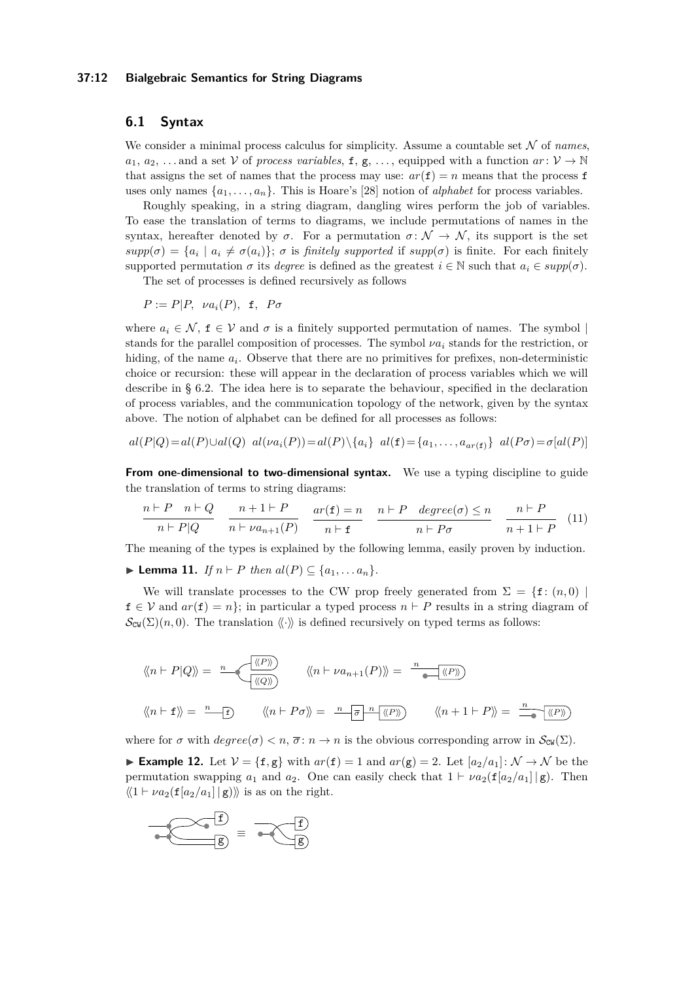### **37:12 Bialgebraic Semantics for String Diagrams**

# **6.1 Syntax**

We consider a minimal process calculus for simplicity. Assume a countable set  $N$  of *names*,  $a_1, a_2, \ldots$  and a set V of *process variables*, f, g, ..., equipped with a function  $ar: \mathcal{V} \to \mathbb{N}$ that assigns the set of names that the process may use:  $ar(f) = n$  means that the process f uses only names  $\{a_1, \ldots, a_n\}$ . This is Hoare's [\[28\]](#page-15-13) notion of *alphabet* for process variables.

Roughly speaking, in a string diagram, dangling wires perform the job of variables. To ease the translation of terms to diagrams, we include permutations of names in the syntax, hereafter denoted by  $\sigma$ . For a permutation  $\sigma \colon \mathcal{N} \to \mathcal{N}$ , its support is the set  $supp(\sigma) = \{a_i \mid a_i \neq \sigma(a_i)\}\;$ ;  $\sigma$  is *finitely supported* if  $supp(\sigma)$  is finite. For each finitely supported permutation  $\sigma$  its *degree* is defined as the greatest  $i \in \mathbb{N}$  such that  $a_i \in supp(\sigma)$ .

The set of processes is defined recursively as follows

 $P := P|P, \nu a_i(P), \mathbf{f}, P \sigma$ 

where  $a_i \in \mathcal{N}$ ,  $f \in \mathcal{V}$  and  $\sigma$  is a finitely supported permutation of names. The symbol stands for the parallel composition of processes. The symbol *νa<sup>i</sup>* stands for the restriction, or hiding, of the name  $a_i$ . Observe that there are no primitives for prefixes, non-deterministic choice or recursion: these will appear in the declaration of process variables which we will describe in § [6.2.](#page-12-0) The idea here is to separate the behaviour, specified in the declaration of process variables, and the communication topology of the network, given by the syntax above. The notion of alphabet can be defined for all processes as follows:

$$
al(P|Q) = al(P) \cup al(Q) \quad al(\nu a_i(P)) = al(P) \setminus \{a_i\} \quad al(\mathbf{f}) = \{a_1, \ldots, a_{ar(\mathbf{f})}\} \quad al(P\sigma) = \sigma[al(P)]
$$

**From one-dimensional to two-dimensional syntax.** We use a typing discipline to guide the translation of terms to string diagrams:

$$
\frac{n \vdash P \quad n \vdash Q}{n \vdash P|Q} \quad \frac{n+1 \vdash P}{n \vdash \nu a_{n+1}(P)} \quad \frac{ar(\mathbf{f}) = n}{n \vdash \mathbf{f}} \quad \frac{n \vdash P \quad degree(\sigma) \le n}{n \vdash P\sigma} \quad \frac{n \vdash P}{n+1 \vdash P} \quad (11)
$$

The meaning of the types is explained by the following lemma, easily proven by induction.

▶ **Lemma 11.** *If*  $n \vdash P$  *then*  $al(P) \subseteq \{a_1, \ldots a_n\}$ *.* 

We will translate processes to the CW prop freely generated from  $\Sigma = \{f: (n, 0) \mid$  $f \in V$  and  $ar(f) = n$ ; in particular a typed process  $n \vdash P$  results in a string diagram of  $\mathcal{S}_{\text{CW}}(\Sigma)(n,0)$ . The translation  $\langle\langle\cdot\rangle\rangle$  is defined recursively on typed terms as follows:

$$
\langle n \mid P | Q \rangle = \frac{n}{\langle \langle P \rangle \rangle} \qquad \langle n \mid \nu a_{n+1}(P) \rangle = \frac{n}{\langle \langle P \rangle \rangle}
$$

$$
\langle n \mid f \rangle = \frac{n}{\langle P \rangle} \qquad \langle n \mid P \sigma \rangle = \frac{n}{\langle P \rangle} \frac{\langle \langle P \rangle \rangle}{\langle \langle P \rangle} \qquad \langle n+1 \mid P \rangle = \frac{n}{\langle P \rangle}
$$

where for  $\sigma$  with  $degree(\sigma) < n$ ,  $\overline{\sigma}$ :  $n \to n$  is the obvious corresponding arrow in  $\mathcal{S}_{\text{CW}}(\Sigma)$ .

<span id="page-11-0"></span>**Example 12.** Let  $V = \{f, g\}$  with  $ar(f) = 1$  and  $ar(g) = 2$ . Let  $[a_2/a_1]: \mathcal{N} \to \mathcal{N}$  be the permutation swapping  $a_1$  and  $a_2$ . One can easily check that  $1 \vdash \nu a_2(f[a_2/a_1] | g)$ . Then  $\langle \langle 1 \vdash \nu a_2(f[a_2/a_1] \mid g) \rangle \rangle$  is as on the right.

$$
\overbrace{\bullet \in \mathcal{B}}^{f} = \overbrace{\bullet \in \mathcal{B}}^{f}
$$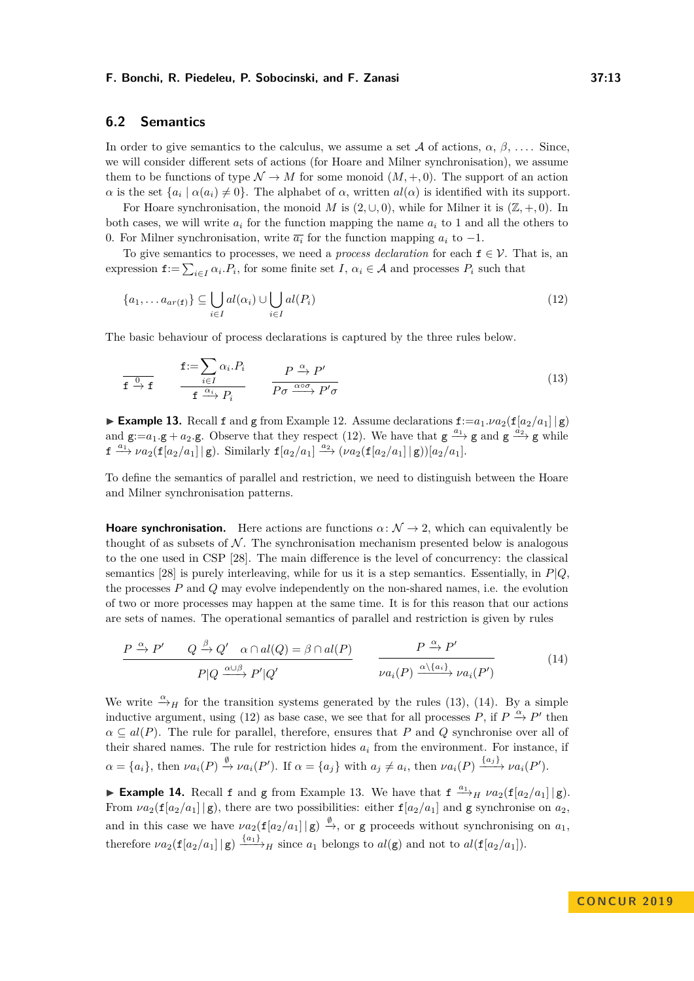# <span id="page-12-0"></span>**6.2 Semantics**

In order to give semantics to the calculus, we assume a set A of actions,  $\alpha$ ,  $\beta$ , .... Since, we will consider different sets of actions (for Hoare and Milner synchronisation), we assume them to be functions of type  $\mathcal{N} \to M$  for some monoid  $(M, +, 0)$ . The support of an action *α* is the set  $\{a_i \mid \alpha(a_i) \neq 0\}$ . The alphabet of *α*, written  $al(\alpha)$  is identified with its support.

For Hoare synchronisation, the monoid *M* is  $(2, \cup, 0)$ , while for Milner it is  $(\mathbb{Z}, +, 0)$ . In both cases, we will write  $a_i$  for the function mapping the name  $a_i$  to 1 and all the others to 0. For Milner synchronisation, write  $\overline{a_i}$  for the function mapping  $a_i$  to  $-1$ .

To give semantics to processes, we need a *process declaration* for each  $f \in V$ . That is, an expression  $f := \sum_{i \in I} \alpha_i P_i$ , for some finite set *I*,  $\alpha_i \in A$  and processes  $P_i$  such that

<span id="page-12-1"></span>
$$
\{a_1, \ldots a_{ar(f)}\} \subseteq \bigcup_{i \in I} al(\alpha_i) \cup \bigcup_{i \in I} al(P_i)
$$
\n(12)

The basic behaviour of process declarations is captured by the three rules below.

<span id="page-12-2"></span>
$$
\mathbf{f} \xrightarrow{\mathbf{0}} \mathbf{f} \xrightarrow{\mathbf{f} \xrightarrow{\mathbf{0}} \mathbf{f} \xrightarrow{\mathbf{0}} \mathbf{f} \xrightarrow{\mathbf{0}} P_i} \frac{P \xrightarrow{\alpha} P'}{P \sigma \xrightarrow{\alpha \circ \sigma} P' \sigma}
$$
\n(13)

<span id="page-12-4"></span>**Example 13.** Recall f and g from Example [12.](#page-11-0) Assume declarations  $f: = a_1 \cdot \nu a_2(f|a_2/a_1||g)$ and  $g := a_1 \cdot g + a_2 \cdot g$ . Observe that they respect [\(12\)](#page-12-1). We have that  $g \xrightarrow{a_1} g$  and  $g \xrightarrow{a_2} g$  while  $f \xrightarrow{a_1} \nu a_2(f[a_2/a_1]|g)$ . Similarly  $f[a_2/a_1] \xrightarrow{a_2} (\nu a_2(f[a_2/a_1]|g))[a_2/a_1]$ .

To define the semantics of parallel and restriction, we need to distinguish between the Hoare and Milner synchronisation patterns.

<span id="page-12-5"></span>**Hoare synchronisation.** Here actions are functions  $\alpha: \mathcal{N} \to 2$ , which can equivalently be thought of as subsets of  $\mathcal N$ . The synchronisation mechanism presented below is analogous to the one used in CSP [\[28\]](#page-15-13). The main difference is the level of concurrency: the classical semantics [\[28\]](#page-15-13) is purely interleaving, while for us it is a step semantics. Essentially, in *P*|*Q*, the processes *P* and *Q* may evolve independently on the non-shared names, i.e. the evolution of two or more processes may happen at the same time. It is for this reason that our actions are sets of names. The operational semantics of parallel and restriction is given by rules

<span id="page-12-3"></span>
$$
\frac{P \xrightarrow{\alpha} P' \qquad Q \xrightarrow{\beta} Q' \quad \alpha \cap al(Q) = \beta \cap al(P)}{P|Q \xrightarrow{\alpha \cup \beta} P'|Q'} \qquad \frac{P \xrightarrow{\alpha} P'}{\nu a_i(P) \xrightarrow{\alpha \setminus \{a_i\}} \nu a_i(P')} \tag{14}
$$

We write  $\frac{\alpha}{\rightarrow}$ *H* for the transition systems generated by the rules [\(13\)](#page-12-2), [\(14\)](#page-12-3). By a simple inductive argument, using [\(12\)](#page-12-1) as base case, we see that for all processes  $P$ , if  $P \stackrel{\alpha}{\to} P'$  then  $\alpha \subseteq al(P)$ . The rule for parallel, therefore, ensures that *P* and *Q* synchronise over all of their shared names. The rule for restriction hides  $a_i$  from the environment. For instance, if  $\alpha = \{a_i\}$ , then  $\nu a_i(P) \stackrel{\emptyset}{\rightarrow} \nu a_i(P')$ . If  $\alpha = \{a_j\}$  with  $a_j \neq a_i$ , then  $\nu a_i(P) \stackrel{\{a_j\}}{\longrightarrow} \nu a_i(P')$ .

**Example 14.** Recall f and g from Example [13.](#page-12-4) We have that  $f \rightarrow_H \nu a_2(f[a_2/a_1]|g)$ . From  $\nu a_2(f[a_2/a_1] | g)$ , there are two possibilities: either  $f[a_2/a_1]$  and g synchronise on  $a_2$ , and in this case we have  $\nu a_2(f[a_2/a_1] | g) \xrightarrow{\emptyset}$ , or g proceeds without synchronising on  $a_1$ , therefore  $\nu a_2(\mathbf{f}[a_2/a_1] | \mathbf{g}) \xrightarrow{\{a_1\}} H$  since  $a_1$  belongs to  $al(\mathbf{g})$  and not to  $al(\mathbf{f}[a_2/a_1])$ .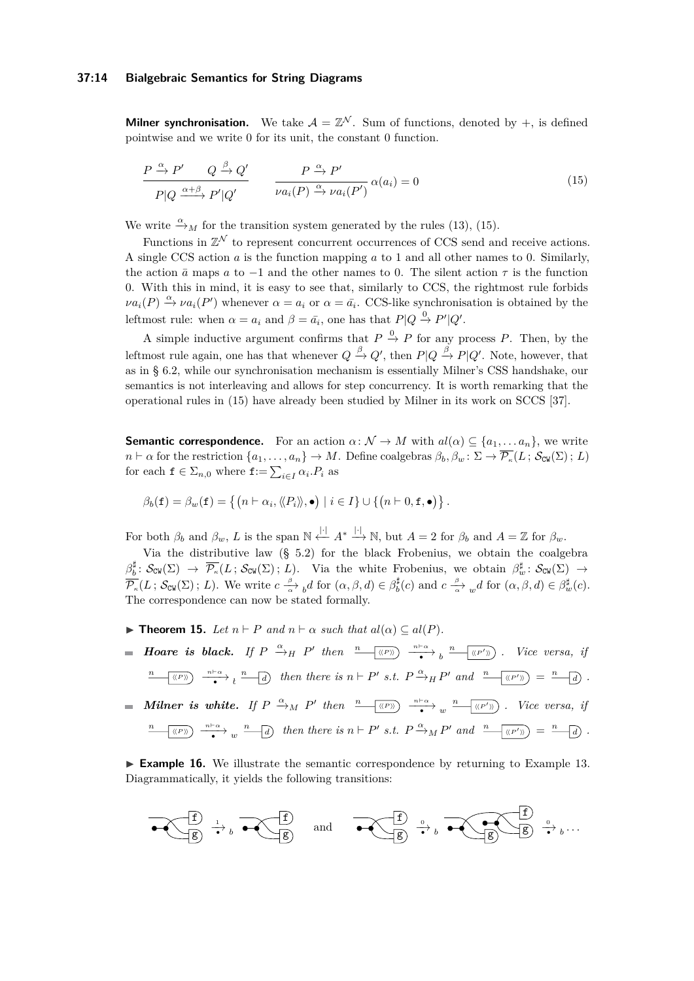### **37:14 Bialgebraic Semantics for String Diagrams**

**Milner synchronisation.** We take  $A = \mathbb{Z}^N$ . Sum of functions, denoted by  $+$ , is defined pointwise and we write 0 for its unit, the constant 0 function.

<span id="page-13-0"></span>
$$
\frac{P \stackrel{\alpha}{\to} P'}{P|Q \stackrel{\alpha+\beta}{\to} P'|Q'} \qquad \frac{P \stackrel{\alpha}{\to} P'}{\nu a_i(P) \stackrel{\alpha}{\to} \nu a_i(P')} \alpha(a_i) = 0 \tag{15}
$$

We write  $\stackrel{\alpha}{\rightarrow}_M$  for the transition system generated by the rules [\(13\)](#page-12-2), [\(15\)](#page-13-0).

Functions in  $\mathbb{Z}^{\mathcal{N}}$  to represent concurrent occurrences of CCS send and receive actions. A single CCS action *a* is the function mapping *a* to 1 and all other names to 0. Similarly, the action  $\bar{a}$  maps  $a$  to  $-1$  and the other names to 0. The silent action  $\tau$  is the function 0. With this in mind, it is easy to see that, similarly to CCS, the rightmost rule forbids  $\nu a_i(P) \stackrel{\alpha}{\rightarrow} \nu a_i(P')$  whenever  $\alpha = a_i$  or  $\alpha = \bar{a_i}$ . CCS-like synchronisation is obtained by the leftmost rule: when  $\alpha = a_i$  and  $\beta = \bar{a_i}$ , one has that  $P|Q \stackrel{0}{\rightarrow} P'|Q'$ .

A simple inductive argument confirms that  $P \stackrel{0}{\to} P$  for any process P. Then, by the leftmost rule again, one has that whenever  $Q \stackrel{\beta}{\to} Q'$ , then  $P|Q \stackrel{\beta}{\to} P|Q'$ . Note, however, that as in § [6.2,](#page-12-5) while our synchronisation mechanism is essentially Milner's CSS handshake, our semantics is not interleaving and allows for step concurrency. It is worth remarking that the operational rules in [\(15\)](#page-13-0) have already been studied by Milner in its work on SCCS [\[37\]](#page-16-10).

**Semantic correspondence.** For an action  $\alpha: \mathcal{N} \to M$  with  $al(\alpha) \subseteq \{a_1, \dots a_n\}$ , we write  $n \vdash \alpha$  for the restriction  $\{a_1, \ldots, a_n\} \to M$ . Define coalgebras  $\beta_b, \beta_w \colon \Sigma \to \overline{\mathcal{P}_\kappa}(L; \mathcal{S}_{\text{CW}}(\Sigma); L)$ for each  $f \in \Sigma_{n,0}$  where  $f := \sum_{i \in I} \alpha_i P_i$  as

$$
\beta_b(\mathbf{f}) = \beta_w(\mathbf{f}) = \left\{ \left( n \vdash \alpha_i, \langle\!\langle P_i \rangle\!\rangle, \bullet \right) \mid i \in I \right\} \cup \left\{ \left( n \vdash 0, \mathbf{f}, \bullet \right) \right\}.
$$

For both  $\beta_b$  and  $\beta_w$ , *L* is the span  $\mathbb{N} \stackrel{|\cdot|}{\leftarrow} A^* \stackrel{|\cdot|}{\longrightarrow} \mathbb{N}$ , but  $A = 2$  for  $\beta_b$  and  $A = \mathbb{Z}$  for  $\beta_w$ .

Via the distributive law (§ [5.2\)](#page-10-1) for the black Frobenius, we obtain the coalgebra  $\beta_b^{\sharp}$ :  $S_{\text{CW}}(\Sigma) \rightarrow \overline{\mathcal{P}_{\kappa}}(L; S_{\text{CW}}(\Sigma); L)$ . Via the white Frobenius, we obtain  $\beta_w^{\sharp}$ :  $S_{\text{CW}}(\Sigma) \rightarrow$  $\overline{\mathcal{P}_{\kappa}}(L; \mathcal{S}_{\text{CW}}(\Sigma); L)$ . We write  $c \xrightarrow[\alpha]{\beta} d$  for  $(\alpha, \beta, d) \in \beta^{\sharp}_b(c)$  and  $c \xrightarrow[\alpha]{\beta} {d}$  for  $(\alpha, \beta, d) \in \beta^{\sharp}_{w}(c)$ . The correspondence can now be stated formally.

- $▶$  **Theorem 15.** *Let*  $n \vdash P$  *and*  $n \vdash \alpha$  *such that*  $al(\alpha) \subseteq al(P)$ *.*
- *Hoare is black. If*  $P \xrightarrow{\alpha} H$   $P'$  then  $\frac{n}{\sqrt{\langle P' \rangle}} \rightarrow \frac{n}{\sqrt{\langle P' \rangle}} \rightarrow \frac{n}{\sqrt{\langle P' \rangle}}$ . Vice versa, if  $\frac{n}{\bullet}$  ((P))  $\frac{n+\alpha}{\bullet}$   $\frac{n}{\bullet}$  and  $\frac{n}{\bullet}$  then there is  $n \vdash P'$  s.t.  $P \xrightarrow{\alpha} {}_{H}P'$  and  $\frac{n}{\bullet}$  ((P')) =  $\frac{n}{\bullet}$  and  $\frac{n}{\bullet}$ . *Milner is white.* If  $P \xrightarrow{\alpha} M$   $P'$  then  $\frac{n}{\sqrt{\langle P' \rangle}} \rightarrow \infty$   $\frac{n}{\sqrt{\langle P' \rangle}}$ . Vice versa, if  $\frac{n}{\bullet}$  ((P))  $\frac{n \vdash \alpha}{\bullet}$  w  $\frac{n}{\bullet}$  d) then there is  $n \vdash P'$  s.t.  $P \xrightarrow{\alpha} M P'$  and  $\frac{n}{\bullet}$  ((P')) =  $\frac{n}{\bullet}$  d).

► **Example 16.** We illustrate the semantic correspondence by returning to Example [13.](#page-12-4) Diagrammatically, it yields the following transitions:

$$
\overbrace{\bullet \left( \begin{array}{c} f \\ g \end{array} \right)} \xrightarrow{\iota} {b} \overbrace{\bullet \left( \begin{array}{c} f \\ g \end{array} \right)} \text{ and } \overbrace{\bullet \left( \begin{array}{c} f \\ g \end{array} \right)} \xrightarrow{\iota} {b} \overbrace{\bullet \left( \begin{array}{c} f \\ g \end{array} \right)} \xrightarrow{\iota} {b} \cdots
$$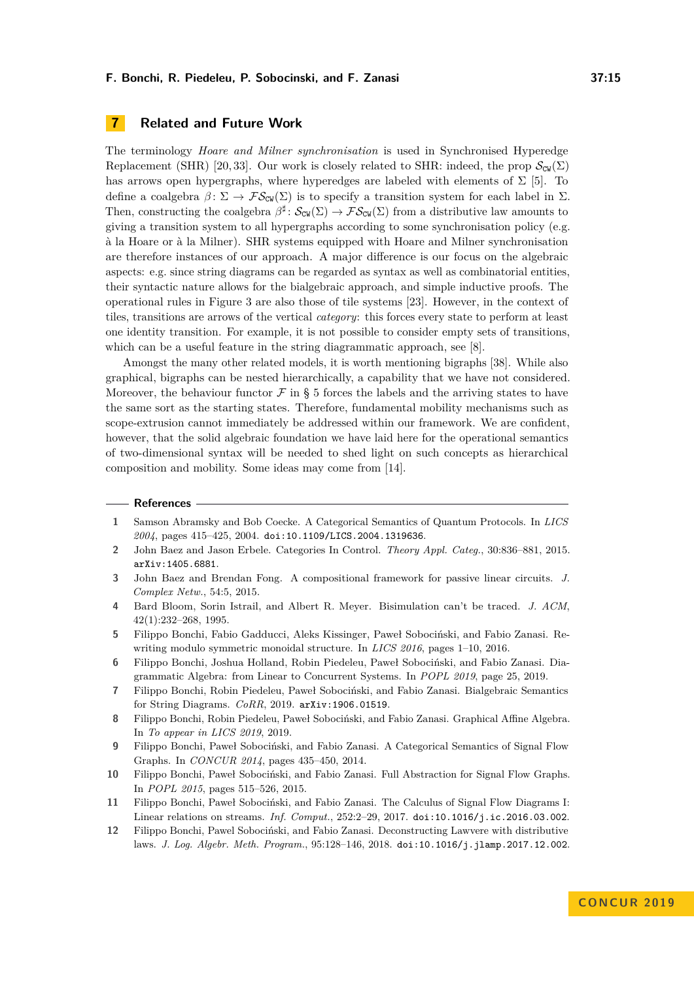<span id="page-14-7"></span>The terminology *Hoare and Milner synchronisation* is used in Synchronised Hyperedge Replacement (SHR) [\[20,](#page-15-19) [33\]](#page-15-20). Our work is closely related to SHR: indeed, the prop  $\mathcal{S}_{\text{CW}}(\Sigma)$ has arrows open hypergraphs, where hyperedges are labeled with elements of  $\Sigma$  [\[5\]](#page-14-11). To define a coalgebra  $\beta \colon \Sigma \to \mathcal{FS}_{\text{CW}}(\Sigma)$  is to specify a transition system for each label in  $\Sigma$ . Then, constructing the coalgebra  $\beta^{\sharp}$ :  $\mathcal{S}_{\text{CW}}(\Sigma) \to \mathcal{FS}_{\text{CW}}(\Sigma)$  from a distributive law amounts to giving a transition system to all hypergraphs according to some synchronisation policy (e.g. à la Hoare or à la Milner). SHR systems equipped with Hoare and Milner synchronisation are therefore instances of our approach. A major difference is our focus on the algebraic aspects: e.g. since string diagrams can be regarded as syntax as well as combinatorial entities, their syntactic nature allows for the bialgebraic approach, and simple inductive proofs. The operational rules in Figure [3](#page-3-0) are also those of tile systems [\[23\]](#page-15-12). However, in the context of tiles, transitions are arrows of the vertical *category*: this forces every state to perform at least one identity transition. For example, it is not possible to consider empty sets of transitions, which can be a useful feature in the string diagrammatic approach, see [\[8\]](#page-14-12).

Amongst the many other related models, it is worth mentioning bigraphs [\[38\]](#page-16-11). While also graphical, bigraphs can be nested hierarchically, a capability that we have not considered. Moreover, the behaviour functor  $\mathcal F$  in § [5](#page-8-0) forces the labels and the arriving states to have the same sort as the starting states. Therefore, fundamental mobility mechanisms such as scope-extrusion cannot immediately be addressed within our framework. We are confident, however, that the solid algebraic foundation we have laid here for the operational semantics of two-dimensional syntax will be needed to shed light on such concepts as hierarchical composition and mobility. Some ideas may come from [\[14\]](#page-15-21).

### **References**

- <span id="page-14-2"></span>**1** Samson Abramsky and Bob Coecke. A Categorical Semantics of Quantum Protocols. In *LICS 2004*, pages 415–425, 2004. [doi:10.1109/LICS.2004.1319636](https://doi.org/10.1109/LICS.2004.1319636).
- <span id="page-14-3"></span>**2** John Baez and Jason Erbele. Categories In Control. *Theory Appl. Categ.*, 30:836–881, 2015. [arXiv:1405.6881](http://arxiv.org/abs/1405.6881).
- <span id="page-14-6"></span>**3** John Baez and Brendan Fong. A compositional framework for passive linear circuits. *J. Complex Netw.*, 54:5, 2015.
- <span id="page-14-1"></span>**4** Bard Bloom, Sorin Istrail, and Albert R. Meyer. Bisimulation can't be traced. *J. ACM*, 42(1):232–268, 1995.
- <span id="page-14-11"></span>**5** Filippo Bonchi, Fabio Gadducci, Aleks Kissinger, Paweł Sobociński, and Fabio Zanasi. Rewriting modulo symmetric monoidal structure. In *LICS 2016*, pages 1–10, 2016.
- <span id="page-14-5"></span>**6** Filippo Bonchi, Joshua Holland, Robin Piedeleu, Paweł Sobociński, and Fabio Zanasi. Diagrammatic Algebra: from Linear to Concurrent Systems. In *POPL 2019*, page 25, 2019.
- <span id="page-14-0"></span>**7** Filippo Bonchi, Robin Piedeleu, Paweł Sobociński, and Fabio Zanasi. Bialgebraic Semantics for String Diagrams. *CoRR*, 2019. [arXiv:1906.01519](http://arxiv.org/abs/1906.01519).
- <span id="page-14-12"></span>**8** Filippo Bonchi, Robin Piedeleu, Paweł Sobociński, and Fabio Zanasi. Graphical Affine Algebra. In *To appear in LICS 2019*, 2019.
- <span id="page-14-8"></span>**9** Filippo Bonchi, Paweł Sobociński, and Fabio Zanasi. A Categorical Semantics of Signal Flow Graphs. In *CONCUR 2014*, pages 435–450, 2014.
- <span id="page-14-4"></span>**10** Filippo Bonchi, Paweł Sobociński, and Fabio Zanasi. Full Abstraction for Signal Flow Graphs. In *POPL 2015*, pages 515–526, 2015.
- <span id="page-14-9"></span>**11** Filippo Bonchi, Paweł Sobociński, and Fabio Zanasi. The Calculus of Signal Flow Diagrams I: Linear relations on streams. *Inf. Comput.*, 252:2–29, 2017. [doi:10.1016/j.ic.2016.03.002](https://doi.org/10.1016/j.ic.2016.03.002).
- <span id="page-14-10"></span>**12** Filippo Bonchi, Pawel Sobociński, and Fabio Zanasi. Deconstructing Lawvere with distributive laws. *J. Log. Algebr. Meth. Program.*, 95:128–146, 2018. [doi:10.1016/j.jlamp.2017.12.002](https://doi.org/10.1016/j.jlamp.2017.12.002).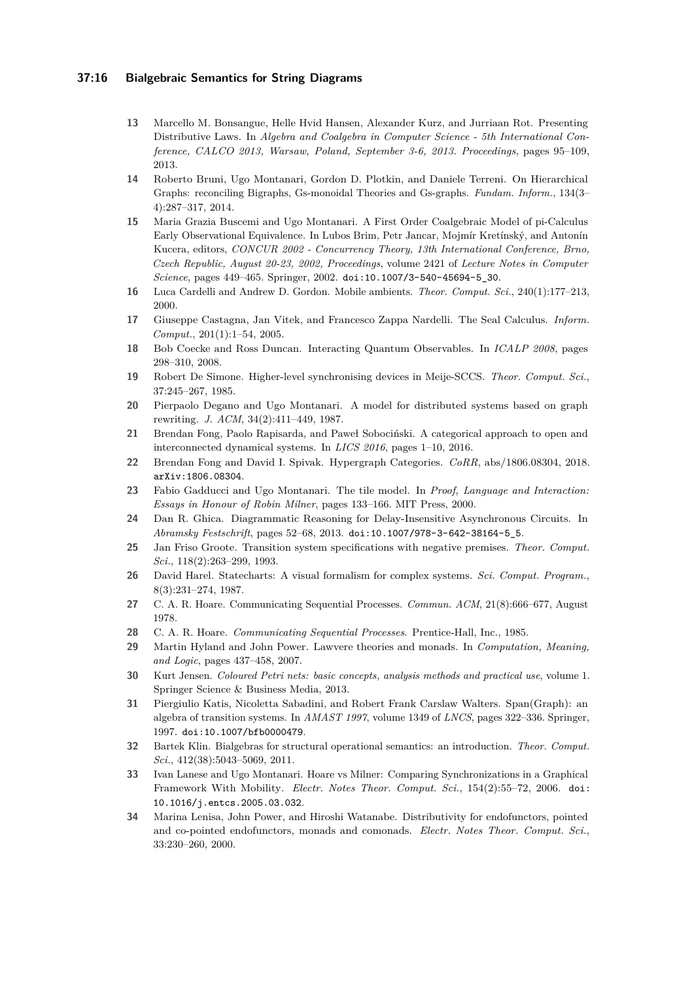### **37:16 Bialgebraic Semantics for String Diagrams**

- <span id="page-15-16"></span>**13** Marcello M. Bonsangue, Helle Hvid Hansen, Alexander Kurz, and Jurriaan Rot. Presenting Distributive Laws. In *Algebra and Coalgebra in Computer Science - 5th International Conference, CALCO 2013, Warsaw, Poland, September 3-6, 2013. Proceedings*, pages 95–109, 2013.
- <span id="page-15-21"></span>**14** Roberto Bruni, Ugo Montanari, Gordon D. Plotkin, and Daniele Terreni. On Hierarchical Graphs: reconciling Bigraphs, Gs-monoidal Theories and Gs-graphs. *Fundam. Inform.*, 134(3– 4):287–317, 2014.
- <span id="page-15-17"></span>**15** Maria Grazia Buscemi and Ugo Montanari. A First Order Coalgebraic Model of pi-Calculus Early Observational Equivalence. In Lubos Brim, Petr Jancar, Mojmír Kretínský, and Antonín Kucera, editors, *CONCUR 2002 - Concurrency Theory, 13th International Conference, Brno, Czech Republic, August 20-23, 2002, Proceedings*, volume 2421 of *Lecture Notes in Computer Science*, pages 449–465. Springer, 2002. [doi:10.1007/3-540-45694-5\\_30](https://doi.org/10.1007/3-540-45694-5_30).
- <span id="page-15-0"></span>**16** Luca Cardelli and Andrew D. Gordon. Mobile ambients. *Theor. Comput. Sci.*, 240(1):177–213, 2000.
- <span id="page-15-1"></span>**17** Giuseppe Castagna, Jan Vitek, and Francesco Zappa Nardelli. The Seal Calculus. *Inform. Comput.*, 201(1):1–54, 2005.
- <span id="page-15-7"></span>**18** Bob Coecke and Ross Duncan. Interacting Quantum Observables. In *ICALP 2008*, pages 298–310, 2008.
- <span id="page-15-3"></span>**19** Robert De Simone. Higher-level synchronising devices in Meije-SCCS. *Theor. Comput. Sci.*, 37:245–267, 1985.
- <span id="page-15-19"></span>**20** Pierpaolo Degano and Ugo Montanari. A model for distributed systems based on graph rewriting. *J. ACM*, 34(2):411–449, 1987.
- <span id="page-15-8"></span>**21** Brendan Fong, Paolo Rapisarda, and Paweł Sobociński. A categorical approach to open and interconnected dynamical systems. In *LICS 2016*, pages 1–10, 2016.
- <span id="page-15-18"></span>**22** Brendan Fong and David I. Spivak. Hypergraph Categories. *CoRR*, abs/1806.08304, 2018. [arXiv:1806.08304](http://arxiv.org/abs/1806.08304).
- <span id="page-15-12"></span>**23** Fabio Gadducci and Ugo Montanari. The tile model. In *Proof, Language and Interaction: Essays in Honour of Robin Milner*, pages 133–166. MIT Press, 2000.
- <span id="page-15-9"></span>**24** Dan R. Ghica. Diagrammatic Reasoning for Delay-Insensitive Asynchronous Circuits. In *Abramsky Festschrift*, pages 52–68, 2013. [doi:10.1007/978-3-642-38164-5\\_5](https://doi.org/10.1007/978-3-642-38164-5_5).
- <span id="page-15-4"></span>**25** Jan Friso Groote. Transition system specifications with negative premises. *Theor. Comput. Sci.*, 118(2):263–299, 1993.
- <span id="page-15-5"></span>**26** David Harel. Statecharts: A visual formalism for complex systems. *Sci. Comput. Program.*, 8(3):231–274, 1987.
- <span id="page-15-2"></span>**27** C. A. R. Hoare. Communicating Sequential Processes. *Commun. ACM*, 21(8):666–677, August 1978.
- <span id="page-15-13"></span>**28** C. A. R. Hoare. *Communicating Sequential Processes*. Prentice-Hall, Inc., 1985.
- <span id="page-15-15"></span>**29** Martin Hyland and John Power. Lawvere theories and monads. In *Computation, Meaning, and Logic*, pages 437–458, 2007.
- <span id="page-15-6"></span>**30** Kurt Jensen. *Coloured Petri nets: basic concepts, analysis methods and practical use*, volume 1. Springer Science & Business Media, 2013.
- <span id="page-15-11"></span>**31** Piergiulio Katis, Nicoletta Sabadini, and Robert Frank Carslaw Walters. Span(Graph): an algebra of transition systems. In *AMAST 1997*, volume 1349 of *LNCS*, pages 322–336. Springer, 1997. [doi:10.1007/bfb0000479](https://doi.org/10.1007/bfb0000479).
- <span id="page-15-10"></span>**32** Bartek Klin. Bialgebras for structural operational semantics: an introduction. *Theor. Comput. Sci.*, 412(38):5043–5069, 2011.
- <span id="page-15-20"></span>**33** Ivan Lanese and Ugo Montanari. Hoare vs Milner: Comparing Synchronizations in a Graphical Framework With Mobility. *Electr. Notes Theor. Comput. Sci.*, 154(2):55–72, 2006. [doi:](https://doi.org/10.1016/j.entcs.2005.03.032) [10.1016/j.entcs.2005.03.032](https://doi.org/10.1016/j.entcs.2005.03.032).
- <span id="page-15-14"></span>**34** Marina Lenisa, John Power, and Hiroshi Watanabe. Distributivity for endofunctors, pointed and co-pointed endofunctors, monads and comonads. *Electr. Notes Theor. Comput. Sci.*, 33:230–260, 2000.